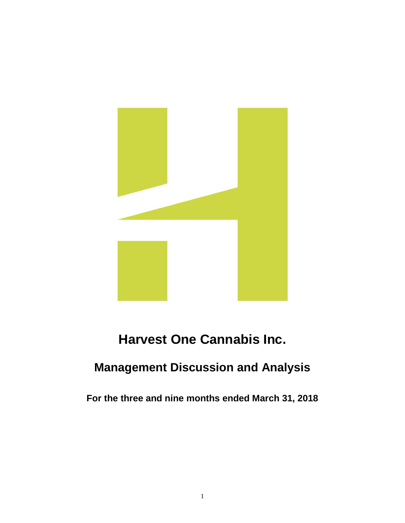

# **Harvest One Cannabis Inc.**

# **Management Discussion and Analysis**

**For the three and nine months ended March 31, 2018**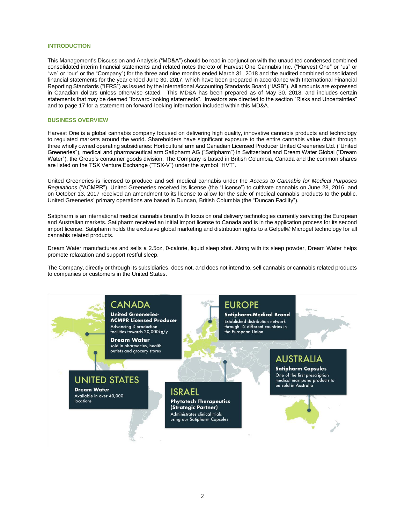# **INTRODUCTION**

This Management's Discussion and Analysis ("MD&A") should be read in conjunction with the unaudited condensed combined consolidated interim financial statements and related notes thereto of Harvest One Cannabis Inc. ("Harvest One" or "us" or "we" or "our" or the "Company") for the three and nine months ended March 31, 2018 and the audited combined consolidated financial statements for the year ended June 30, 2017, which have been prepared in accordance with International Financial Reporting Standards ("IFRS") as issued by the International Accounting Standards Board ("IASB"). All amounts are expressed in Canadian dollars unless otherwise stated. This MD&A has been prepared as of May 30, 2018, and includes certain statements that may be deemed "forward-looking statements". Investors are directed to the section "Risks and Uncertainties" and to page 17 for a statement on forward-looking information included within this MD&A.

## **BUSINESS OVERVIEW**

Harvest One is a global cannabis company focused on delivering high quality, innovative cannabis products and technology to regulated markets around the world. Shareholders have significant exposure to the entire cannabis value chain through three wholly owned operating subsidiaries: Horticultural arm and Canadian Licensed Producer United Greeneries Ltd. ("United Greeneries"), medical and pharmaceutical arm Satipharm AG ("Satipharm") in Switzerland and Dream Water Global ("Dream Water"), the Group's consumer goods division. The Company is based in British Columbia, Canada and the common shares are listed on the TSX Venture Exchange ("TSX-V") under the symbol "HVT".

United Greeneries is licensed to produce and sell medical cannabis under the *Access to Cannabis for Medical Purposes Regulations* ("ACMPR"). United Greeneries received its license (the "License") to cultivate cannabis on June 28, 2016, and on October 13, 2017 received an amendment to its license to allow for the sale of medical cannabis products to the public. United Greeneries' primary operations are based in Duncan, British Columbia (the "Duncan Facility").

Satipharm is an international medical cannabis brand with focus on oral delivery technologies currently servicing the European and Australian markets. Satipharm received an initial import license to Canada and is in the application process for its second import license. Satipharm holds the exclusive global marketing and distribution rights to a Gelpell® Microgel technology for all cannabis related products.

Dream Water manufactures and sells a 2.5oz, 0-calorie, liquid sleep shot. Along with its sleep powder, Dream Water helps promote relaxation and support restful sleep.

The Company, directly or through its subsidiaries, does not, and does not intend to, sell cannabis or cannabis related products to companies or customers in the United States.

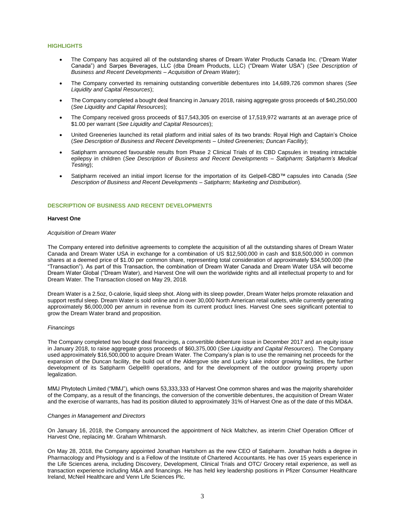# **HIGHLIGHTS**

- The Company has acquired all of the outstanding shares of Dream Water Products Canada Inc. ("Dream Water Canada") and Sarpes Beverages, LLC (dba Dream Products, LLC) ("Dream Water USA") (*See Description of Business and Recent Developments – Acquisition of Dream Water*);
- The Company converted its remaining outstanding convertible debentures into 14,689,726 common shares (*See Liquidity and Capital Resources*);
- The Company completed a bought deal financing in January 2018, raising aggregate gross proceeds of \$40,250,000 (*See Liquidity and Capital Resources*);
- The Company received gross proceeds of \$17,543,305 on exercise of 17,519,972 warrants at an average price of \$1.00 per warrant (*See Liquidity and Capital Resources*);
- United Greeneries launched its retail platform and initial sales of its two brands: Royal High and Captain's Choice (*See Description of Business and Recent Developments – United Greeneries; Duncan Facility*);
- Satipharm announced favourable results from Phase 2 Clinical Trials of its CBD Capsules in treating intractable epilepsy in children (*See Description of Business and Recent Developments – Satipharm; Satipharm's Medical Testing*);
- Satipharm received an initial import license for the importation of its Gelpell-CBD™ capsules into Canada (*See Description of Business and Recent Developments – Satipharm; Marketing and Distribution*).

## **DESCRIPTION OF BUSINESS AND RECENT DEVELOPMENTS**

# **Harvest One**

# *Acquisition of Dream Water*

The Company entered into definitive agreements to complete the acquisition of all the outstanding shares of Dream Water Canada and Dream Water USA in exchange for a combination of US \$12,500,000 in cash and \$18,500,000 in common shares at a deemed price of \$1.00 per common share, representing total consideration of approximately \$34,500,000 (the "Transaction"). As part of this Transaction, the combination of Dream Water Canada and Dream Water USA will become Dream Water Global ("Dream Water), and Harvest One will own the worldwide rights and all intellectual property to and for Dream Water. The Transaction closed on May 29, 2018.

Dream Water is a 2.5oz, 0-calorie, liquid sleep shot. Along with its sleep powder, Dream Water helps promote relaxation and support restful sleep. Dream Water is sold online and in over 30,000 North American retail outlets, while currently generating approximately \$6,000,000 per annum in revenue from its current product lines. Harvest One sees significant potential to grow the Dream Water brand and proposition.

#### *Financings*

The Company completed two bought deal financings, a convertible debenture issue in December 2017 and an equity issue in January 2018, to raise aggregate gross proceeds of \$60,375,000 (*See Liquidity and Capital Resources*). The Company used approximately \$16,500,000 to acquire Dream Water. The Company's plan is to use the remaining net proceeds for the expansion of the Duncan facility, the build out of the Aldergove site and Lucky Lake indoor growing facilities, the further development of its Satipharm Gelpell® operations, and for the development of the outdoor growing property upon legalization.

MMJ Phytotech Limited ("MMJ"), which owns 53,333,333 of Harvest One common shares and was the majority shareholder of the Company, as a result of the financings, the conversion of the convertible debentures, the acquisition of Dream Water and the exercise of warrants, has had its position diluted to approximately 31% of Harvest One as of the date of this MD&A.

#### *Changes in Management and Directors*

On January 16, 2018, the Company announced the appointment of Nick Maltchev, as interim Chief Operation Officer of Harvest One, replacing Mr. Graham Whitmarsh.

On May 28, 2018, the Company appointed Jonathan Hartshorn as the new CEO of Satipharm. Jonathan holds a degree in Pharmacology and Physiology and is a Fellow of the Institute of Chartered Accountants. He has over 15 years experience in the Life Sciences arena, including Discovery, Development, Clinical Trials and OTC/ Grocery retail experience, as well as transaction experience including M&A and financings. He has held key leadership positions in Pfizer Consumer Healthcare Ireland, McNeil Healthcare and Venn Life Sciences Plc.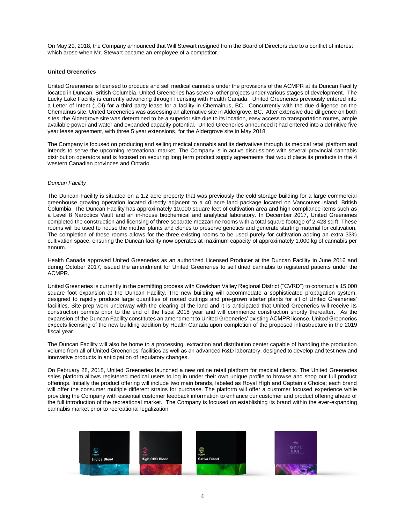On May 29, 2018, the Company announced that Will Stewart resigned from the Board of Directors due to a conflict of interest which arose when Mr. Stewart became an employee of a competitor.

# **United Greeneries**

United Greeneries is licensed to produce and sell medical cannabis under the provisions of the ACMPR at its Duncan Facility located in Duncan, British Columbia. United Greeneries has several other projects under various stages of development. The Lucky Lake Facility is currently advancing through licensing with Health Canada. United Greeneries previously entered into a Letter of Intent (LOI) for a third party lease for a facility in Chemainus, BC. Concurrently with the due diligence on the Chemainus site, United Greeneries was assessing an alternative site in Aldergrove, BC. After extensive due diligence on both sites, the Aldergrove site was determined to be a superior site due to its location, easy access to transportation routes, ample available power and water and expanded capacity potential. United Greeneries announced it had entered into a definitive five year lease agreement, with three 5 year extensions, for the Aldergrove site in May 2018.

The Company is focused on producing and selling medical cannabis and its derivatives through its medical retail platform and intends to serve the upcoming recreational market. The Company is in active discussions with several provincial cannabis distribution operators and is focused on securing long term product supply agreements that would place its products in the 4 western Canadian provinces and Ontario.

## *Duncan Facility*

The Duncan Facility is situated on a 1.2 acre property that was previously the cold storage building for a large commercial greenhouse growing operation located directly adjacent to a 40 acre land package located on Vancouver Island, British Columbia. The Duncan Facility has approximately 10,000 square feet of cultivation area and high compliance items such as a Level 8 Narcotics Vault and an in-house biochemical and analytical laboratory. In December 2017, United Greeneries completed the construction and licensing of three separate mezzanine rooms with a total square footage of 2,423 sq ft. These rooms will be used to house the mother plants and clones to preserve genetics and generate starting material for cultivation. The completion of these rooms allows for the three existing rooms to be used purely for cultivation adding an extra 33% cultivation space, ensuring the Duncan facility now operates at maximum capacity of approximately 1,000 kg of cannabis per annum.

Health Canada approved United Greeneries as an authorized Licensed Producer at the Duncan Facility in June 2016 and during October 2017, issued the amendment for United Greeneries to sell dried cannabis to registered patients under the ACMPR.

United Greeneries is currently in the permitting process with Cowichan Valley Regional District ("CVRD") to construct a 15,000 square foot expansion at the Duncan Facility. The new building will accommodate a sophisticated propagation system, designed to rapidly produce large quantities of rooted cuttings and pre-grown starter plants for all of United Greeneries' facilities. Site prep work underway with the clearing of the land and it is anticipated that United Greeneries will receive its construction permits prior to the end of the fiscal 2018 year and will commence construction shortly thereafter. As the expansion of the Duncan Facility constitutes an amendment to United Greeneries' existing ACMPR license, United Greeneries expects licensing of the new building addition by Health Canada upon completion of the proposed infrastructure in the 2019 fiscal year.

The Duncan Facility will also be home to a processing, extraction and distribution center capable of handling the production volume from all of United Greeneries' facilities as well as an advanced R&D laboratory, designed to develop and test new and innovative products in anticipation of regulatory changes.

On February 28, 2018, United Greeneries launched a new online retail platform for medical clients. The United Greeneries sales platform allows registered medical users to log in under their own unique profile to browse and shop our full product offerings. Initially the product offering will include two main brands, labeled as Royal High and Captain's Choice; each brand will offer the consumer multiple different strains for purchase. The platform will offer a customer focused experience while providing the Company with essential customer feedback information to enhance our customer and product offering ahead of the full introduction of the recreational market. The Company is focused on establishing its brand within the ever-expanding cannabis market prior to recreational legalization.

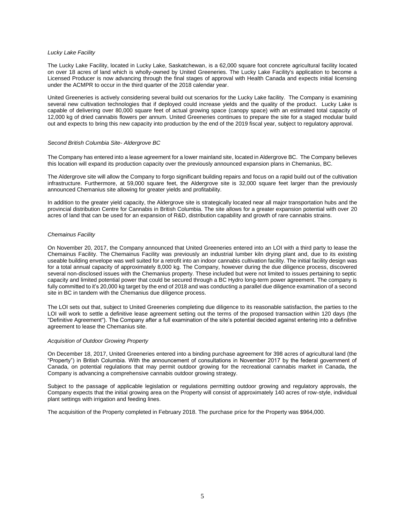## *Lucky Lake Facility*

The Lucky Lake Facility, located in Lucky Lake, Saskatchewan, is a 62,000 square foot concrete agricultural facility located on over 18 acres of land which is wholly-owned by United Greeneries. The Lucky Lake Facility's application to become a Licensed Producer is now advancing through the final stages of approval with Health Canada and expects initial licensing under the ACMPR to occur in the third quarter of the 2018 calendar year.

United Greeneries is actively considering several build out scenarios for the Lucky Lake facility. The Company is examining several new cultivation technologies that if deployed could increase yields and the quality of the product. Lucky Lake is capable of delivering over 80,000 square feet of actual growing space (canopy space) with an estimated total capacity of 12,000 kg of dried cannabis flowers per annum. United Greeneries continues to prepare the site for a staged modular build out and expects to bring this new capacity into production by the end of the 2019 fiscal year, subject to regulatory approval.

## *Second British Columbia Site- Aldergrove BC*

The Company has entered into a lease agreement for a lower mainland site, located in Aldergrove BC. The Company believes this location will expand its production capacity over the previously announced expansion plans in Chemanius, BC.

The Aldergrove site will allow the Company to forgo significant building repairs and focus on a rapid build out of the cultivation infrastructure. Furthermore, at 59,000 square feet, the Aldergrove site is 32,000 square feet larger than the previously announced Chemanius site allowing for greater yields and profitability.

In addition to the greater yield capacity, the Aldergrove site is strategically located near all major transportation hubs and the provincial distribution Centre for Cannabis in British Columbia. The site allows for a greater expansion potential with over 20 acres of land that can be used for an expansion of R&D, distribution capability and growth of rare cannabis strains.

## *Chemainus Facility*

On November 20, 2017, the Company announced that United Greeneries entered into an LOI with a third party to lease the Chemainus Facility. The Chemainus Facility was previously an industrial lumber kiln drying plant and, due to its existing useable building envelope was well suited for a retrofit into an indoor cannabis cultivation facility. The initial facility design was for a total annual capacity of approximately 8,000 kg. The Company, however during the due diligence process, discovered several non-disclosed issues with the Chemanius property. These included but were not limited to issues pertaining to septic capacity and limited potential power that could be secured through a BC Hydro long-term power agreement. The company is fully committed to it's 20,000 kg target by the end of 2018 and was conducting a parallel due diligence examination of a second site in BC in tandem with the Chemanius due diligence process.

The LOI sets out that, subject to United Greeneries completing due diligence to its reasonable satisfaction, the parties to the LOI will work to settle a definitive lease agreement setting out the terms of the proposed transaction within 120 days (the "Definitive Agreement"). The Company after a full examination of the site's potential decided against entering into a definitive agreement to lease the Chemanius site.

#### *Acquisition of Outdoor Growing Property*

On December 18, 2017, United Greeneries entered into a binding purchase agreement for 398 acres of agricultural land (the "Property") in British Columbia. With the announcement of consultations in November 2017 by the federal government of Canada, on potential regulations that may permit outdoor growing for the recreational cannabis market in Canada, the Company is advancing a comprehensive cannabis outdoor growing strategy.

Subject to the passage of applicable legislation or regulations permitting outdoor growing and regulatory approvals, the Company expects that the initial growing area on the Property will consist of approximately 140 acres of row-style, individual plant settings with irrigation and feeding lines.

The acquisition of the Property completed in February 2018. The purchase price for the Property was \$964,000.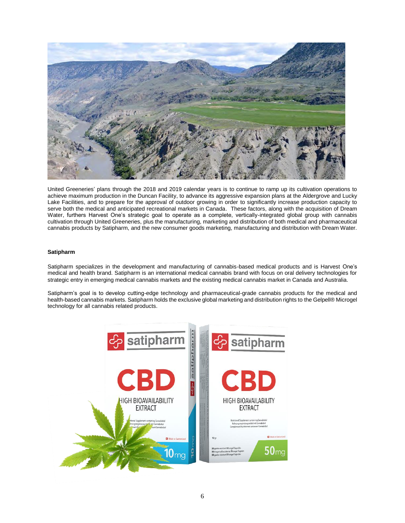

United Greeneries' plans through the 2018 and 2019 calendar years is to continue to ramp up its cultivation operations to achieve maximum production in the Duncan Facility, to advance its aggressive expansion plans at the Aldergrove and Lucky Lake Facilities, and to prepare for the approval of outdoor growing in order to significantly increase production capacity to serve both the medical and anticipated recreational markets in Canada. These factors, along with the acquisition of Dream Water, furthers Harvest One's strategic goal to operate as a complete, vertically-integrated global group with cannabis cultivation through United Greeneries, plus the manufacturing, marketing and distribution of both medical and pharmaceutical cannabis products by Satipharm, and the new consumer goods marketing, manufacturing and distribution with Dream Water.

# **Satipharm**

Satipharm specializes in the development and manufacturing of cannabis-based medical products and is Harvest One's medical and health brand. Satipharm is an international medical cannabis brand with focus on oral delivery technologies for strategic entry in emerging medical cannabis markets and the existing medical cannabis market in Canada and Australia.

Satipharm's goal is to develop cutting-edge technology and pharmaceutical-grade cannabis products for the medical and health-based cannabis markets. Satipharm holds the exclusive global marketing and distribution rights to the Gelpell® Microgel technology for all cannabis related products.

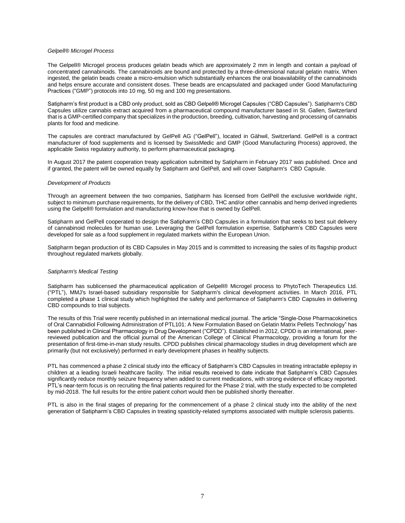### *Gelpell® Microgel Process*

The Gelpell® Microgel process produces gelatin beads which are approximately 2 mm in length and contain a payload of concentrated cannabinoids. The cannabinoids are bound and protected by a three-dimensional natural gelatin matrix. When ingested, the gelatin beads create a micro-emulsion which substantially enhances the oral bioavailability of the cannabinoids and helps ensure accurate and consistent doses. These beads are encapsulated and packaged under Good Manufacturing Practices ("GMP") protocols into 10 mg, 50 mg and 100 mg presentations.

Satipharm's first product is a CBD only product, sold as CBD Gelpell® Microgel Capsules ("CBD Capsules"). Satipharm's CBD Capsules utilize cannabis extract acquired from a pharmaceutical compound manufacturer based in St. Gallen, Switzerland that is a GMP-certified company that specializes in the production, breeding, cultivation, harvesting and processing of cannabis plants for food and medicine.

The capsules are contract manufactured by GelPell AG ("GelPell"), located in Gähwil, Switzerland. GelPell is a contract manufacturer of food supplements and is licensed by SwissMedic and GMP (Good Manufacturing Process) approved, the applicable Swiss regulatory authority, to perform pharmaceutical packaging.

In August 2017 the patent cooperation treaty application submitted by Satipharm in February 2017 was published. Once and if granted, the patent will be owned equally by Satipharm and GelPell, and will cover Satipharm's CBD Capsule.

#### *Development of Products*

Through an agreement between the two companies, Satipharm has licensed from GelPell the exclusive worldwide right, subject to minimum purchase requirements, for the delivery of CBD, THC and/or other cannabis and hemp derived ingredients using the Gelpell® formulation and manufacturing know-how that is owned by GelPell.

Satipharm and GelPell cooperated to design the Satipharm's CBD Capsules in a formulation that seeks to best suit delivery of cannabinoid molecules for human use. Leveraging the GelPell formulation expertise, Satipharm's CBD Capsules were developed for sale as a food supplement in regulated markets within the European Union.

Satipharm began production of its CBD Capsules in May 2015 and is committed to increasing the sales of its flagship product throughout regulated markets globally.

### *Satipharm's Medical Testing*

Satipharm has sublicensed the pharmaceutical application of Gelpell® Microgel process to PhytoTech Therapeutics Ltd. ("PTL"), MMJ's Israel-based subsidiary responsible for Satipharm's clinical development activities. In March 2016, PTL completed a phase 1 clinical study which highlighted the safety and performance of Satipharm's CBD Capsules in delivering CBD compounds to trial subjects.

The results of this Trial were recently published in an international medical journal. The article "Single-Dose Pharmacokinetics of Oral Cannabidiol Following Administration of PTL101: A New Formulation Based on Gelatin Matrix Pellets Technology" has been published in Clinical Pharmacology in Drug Development ("CPDD"). Established in 2012, CPDD is an international, peerreviewed publication and the official journal of the American College of Clinical Pharmacology, providing a forum for the presentation of first-time-in-man study results. CPDD publishes clinical pharmacology studies in drug development which are primarily (but not exclusively) performed in early development phases in healthy subjects.

PTL has commenced a phase 2 clinical study into the efficacy of Satipharm's CBD Capsules in treating intractable epilepsy in children at a leading Israeli healthcare facility. The initial results received to date indicate that Satipharm's CBD Capsules significantly reduce monthly seizure frequency when added to current medications, with strong evidence of efficacy reported. PTL's near-term focus is on recruiting the final patients required for the Phase 2 trial, with the study expected to be completed by mid-2018. The full results for the entire patient cohort would then be published shortly thereafter.

PTL is also in the final stages of preparing for the commencement of a phase 2 clinical study into the ability of the next generation of Satipharm's CBD Capsules in treating spasticity-related symptoms associated with multiple sclerosis patients.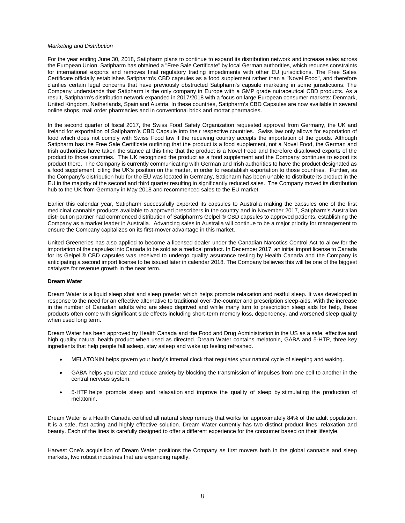#### *Marketing and Distribution*

For the year ending June 30, 2018, Satipharm plans to continue to expand its distribution network and increase sales across the European Union. Satipharm has obtained a "Free Sale Certificate" by local German authorities, which reduces constraints for international exports and removes final regulatory trading impediments with other EU jurisdictions. The Free Sales Certificate officially establishes Satipharm's CBD capsules as a food supplement rather than a "Novel Food", and therefore clarifies certain legal concerns that have previously obstructed Satipharm's capsule marketing in some jurisdictions. The Company understands that Satipharm is the only company in Europe with a GMP grade nutraceutical CBD products. As a result, Satipharm's distribution network expanded in 2017/2018 with a focus on large European consumer markets: Denmark, United Kingdom, Netherlands, Spain and Austria. In these countries, Satipharm's CBD Capsules are now available in several online shops, mail order pharmacies and in conventional brick and mortar pharmacies.

In the second quarter of fiscal 2017, the Swiss Food Safety Organization requested approval from Germany, the UK and Ireland for exportation of Satipharm's CBD Capsule into their respective countries. Swiss law only allows for exportation of food which does not comply with Swiss Food law if the receiving country accepts the importation of the goods. Although Satipharm has the Free Sale Certificate outlining that the product is a food supplement, not a Novel Food, the German and Irish authorities have taken the stance at this time that the product is a Novel Food and therefore disallowed exports of the product to those countries. The UK recognized the product as a food supplement and the Company continues to export its product there. The Company is currently communicating with German and Irish authorities to have the product designated as a food supplement, citing the UK's position on the matter, in order to reestablish exportation to those countries. Further, as the Company's distribution hub for the EU was located in Germany, Satipharm has been unable to distribute its product in the EU in the majority of the second and third quarter resulting in significantly reduced sales. The Company moved its distribution hub to the UK from Germany in May 2018 and recommenced sales to the EU market.

Earlier this calendar year, Satipharm successfully exported its capsules to Australia making the capsules one of the first medicinal cannabis products available to approved prescribers in the country and in November 2017, Satipharm's Australian distribution partner had commenced distribution of Satipharm's Gelpell® CBD capsules to approved patients, establishing the Company as a market leader in Australia. Advancing sales in Australia will continue to be a major priority for management to ensure the Company capitalizes on its first-mover advantage in this market.

United Greeneries has also applied to become a licensed dealer under the Canadian Narcotics Control Act to allow for the importation of the capsules into Canada to be sold as a medical product. In December 2017, an initial import license to Canada for its Gelpell® CBD capsules was received to undergo quality assurance testing by Health Canada and the Company is anticipating a second import license to be issued later in calendar 2018. The Company believes this will be one of the biggest catalysts for revenue growth in the near term.

# **Dream Water**

Dream Water is a liquid sleep shot and sleep powder which helps promote relaxation and restful sleep. It was developed in response to the need for an effective alternative to traditional over-the-counter and prescription sleep-aids. With the increase in the number of Canadian adults who are sleep deprived and while many turn to prescription sleep aids for help, these products often come with significant side effects including short-term memory loss, dependency, and worsened sleep quality when used long term.

Dream Water has been approved by Health Canada and the Food and Drug Administration in the US as a safe, effective and high quality natural health product when used as directed. Dream Water contains melatonin, GABA and 5-HTP, three key ingredients that help people fall asleep, stay asleep and wake up feeling refreshed.

- MELATONIN helps govern your body's internal clock that regulates your natural cycle of sleeping and waking.
- GABA helps you relax and reduce anxiety by blocking the transmission of impulses from one cell to another in the central nervous system.
- 5-HTP helps promote sleep and relaxation and improve the quality of sleep by stimulating the production of melatonin.

Dream Water is a Health Canada certified all natural sleep remedy that works for approximately 84% of the adult population. It is a safe, fast acting and highly effective solution. Dream Water currently has two distinct product lines: relaxation and beauty. Each of the lines is carefully designed to offer a different experience for the consumer based on their lifestyle.

Harvest One's acquisition of Dream Water positions the Company as first movers both in the global cannabis and sleep markets, two robust industries that are expanding rapidly.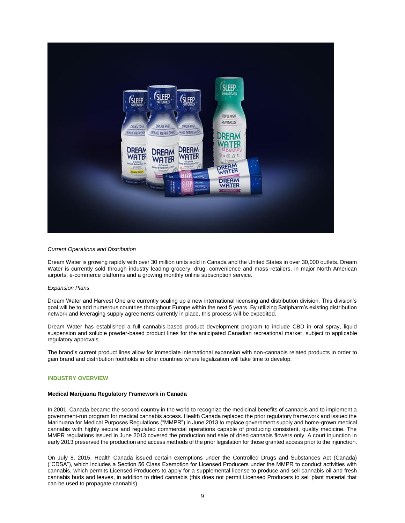

## *Current Operations and Distribution*

Dream Water is growing rapidly with over 30 million units sold in Canada and the United States in over 30,000 outlets. Dream Water is currently sold through industry leading grocery, drug, convenience and mass retailers, in major North American airports, e-commerce platforms and a growing monthly online subscription service.

#### *Expansion Plans*

Dream Water and Harvest One are currently scaling up a new international licensing and distribution division. This division's goal will be to add numerous countries throughout Europe within the next 5 years. By utilizing Satipharm's existing distribution network and leveraging supply agreements currently in place, this process will be expedited.

Dream Water has established a full cannabis-based product development program to include CBD in oral spray, liquid suspension and soluble powder-based product lines for the anticipated Canadian recreational market, subject to applicable regulatory approvals.

The brand's current product lines allow for immediate international expansion with non-cannabis related products in order to gain brand and distribution footholds in other countries where legalization will take time to develop.

# **INDUSTRY OVERVIEW**

#### **Medical Marijuana Regulatory Framework in Canada**

In 2001, Canada became the second country in the world to recognize the medicinal benefits of cannabis and to implement a government-run program for medical cannabis access. Health Canada replaced the prior regulatory framework and issued the Marihuana for Medical Purposes Regulations ("MMPR") in June 2013 to replace government supply and home-grown medical cannabis with highly secure and regulated commercial operations capable of producing consistent, quality medicine. The MMPR regulations issued in June 2013 covered the production and sale of dried cannabis flowers only. A court injunction in early 2013 preserved the production and access methods of the prior legislation for those granted access prior to the injunction.

On July 8, 2015, Health Canada issued certain exemptions under the Controlled Drugs and Substances Act (Canada) ("CDSA"), which includes a Section 56 Class Exemption for Licensed Producers under the MMPR to conduct activities with cannabis, which permits Licensed Producers to apply for a supplemental license to produce and sell cannabis oil and fresh cannabis buds and leaves, in addition to dried cannabis (this does not permit Licensed Producers to sell plant material that can be used to propagate cannabis).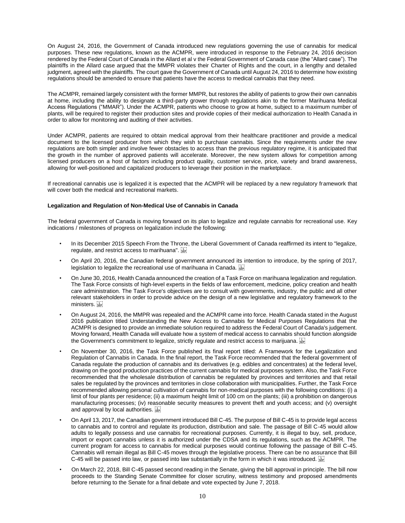On August 24, 2016, the Government of Canada introduced new regulations governing the use of cannabis for medical purposes. These new regulations, known as the ACMPR, were introduced in response to the February 24, 2016 decision rendered by the Federal Court of Canada in the Allard et al v the Federal Government of Canada case (the "Allard case"). The plaintiffs in the Allard case argued that the MMPR violates their Charter of Rights and the court, in a lengthy and detailed judgment, agreed with the plaintiffs. The court gave the Government of Canada until August 24, 2016 to determine how existing regulations should be amended to ensure that patients have the access to medical cannabis that they need.

The ACMPR, remained largely consistent with the former MMPR, but restores the ability of patients to grow their own cannabis at home, including the ability to designate a third-party grower through regulations akin to the former Marihuana Medical Access Regulations ("MMAR"). Under the ACMPR, patients who choose to grow at home, subject to a maximum number of plants, will be required to register their production sites and provide copies of their medical authorization to Health Canada in order to allow for monitoring and auditing of their activities.

Under ACMPR, patients are required to obtain medical approval from their healthcare practitioner and provide a medical document to the licensed producer from which they wish to purchase cannabis. Since the requirements under the new regulations are both simpler and involve fewer obstacles to access than the previous regulatory regime, it is anticipated that the growth in the number of approved patients will accelerate. Moreover, the new system allows for competition among licensed producers on a host of factors including product quality, customer service, price, variety and brand awareness, allowing for well-positioned and capitalized producers to leverage their position in the marketplace.

If recreational cannabis use is legalized it is expected that the ACMPR will be replaced by a new regulatory framework that will cover both the medical and recreational markets.

# **Legalization and Regulation of Non-Medical Use of Cannabis in Canada**

The federal government of Canada is moving forward on its plan to legalize and regulate cannabis for recreational use. Key indications / milestones of progress on legalization include the following:

- In its December 2015 Speech From the Throne, the Liberal Government of Canada reaffirmed its intent to "legalize, regulate, and restrict access to marihuana".
- On April 20, 2016, the Canadian federal government announced its intention to introduce, by the spring of 2017, legislation to legalize the recreational use of marihuana in Canada.
- On June 30, 2016, Health Canada announced the creation of a Task Force on marihuana legalization and regulation. The Task Force consists of high-level experts in the fields of law enforcement, medicine, policy creation and health care administration. The Task Force's objectives are to consult with governments, industry, the public and all other relevant stakeholders in order to provide advice on the design of a new legislative and regulatory framework to the ministers.
- On August 24, 2016, the MMPR was repealed and the ACMPR came into force. Health Canada stated in the August 2016 publication titled Understanding the New Access to Cannabis for Medical Purposes Regulations that the ACMPR is designed to provide an immediate solution required to address the Federal Court of Canada's judgement. Moving forward, Health Canada will evaluate how a system of medical access to cannabis should function alongside the Government's commitment to legalize, strictly regulate and restrict access to marijuana.  $\frac{1}{256}$
- On November 30, 2016, the Task Force published its final report titled: A Framework for the Legalization and Regulation of Cannabis in Canada. In the final report, the Task Force recommended that the federal government of Canada regulate the production of cannabis and its derivatives (e.g. edibles and concentrates) at the federal level, drawing on the good production practices of the current cannabis for medical purposes system. Also, the Task Force recommended that the wholesale distribution of cannabis be regulated by provinces and territories and that retail sales be regulated by the provinces and territories in close collaboration with municipalities. Further, the Task Force recommended allowing personal cultivation of cannabis for non-medical purposes with the following conditions: (i) a limit of four plants per residence; (ii) a maximum height limit of 100 cm on the plants; (iii) a prohibition on dangerous manufacturing processes; (iv) reasonable security measures to prevent theft and youth access; and (v) oversight and approval by local authorities.
- On April 13, 2017, the Canadian government introduced Bill C-45. The purpose of Bill C-45 is to provide legal access to cannabis and to control and regulate its production, distribution and sale. The passage of Bill C-45 would allow adults to legally possess and use cannabis for recreational purposes. Currently, it is illegal to buy, sell, produce, import or export cannabis unless it is authorized under the CDSA and its regulations, such as the ACMPR. The current program for access to cannabis for medical purposes would continue following the passage of Bill C-45. Cannabis will remain illegal as Bill C-45 moves through the legislative process. There can be no assurance that Bill C-45 will be passed into law, or passed into law substantially in the form in which it was introduced.
- On March 22, 2018, Bill C-45 passed second reading in the Senate, giving the bill approval in principle. The bill now proceeds to the Standing Senate Committee for closer scrutiny, witness testimony and proposed amendments before returning to the Senate for a final debate and vote expected by June 7, 2018.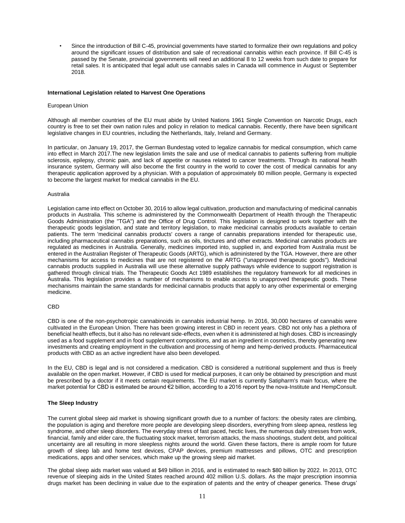• Since the introduction of Bill C-45, provincial governments have started to formalize their own regulations and policy around the significant issues of distribution and sale of recreational cannabis within each province. If Bill C-45 is passed by the Senate, provincial governments will need an additional 8 to 12 weeks from such date to prepare for retail sales. It is anticipated that legal adult use cannabis sales in Canada will commence in August or September 2018.

# **International Legislation related to Harvest One Operations**

#### European Union

Although all member countries of the EU must abide by United Nations 1961 Single Convention on Narcotic Drugs, each country is free to set their own nation rules and policy in relation to medical cannabis. Recently, there have been significant legislative changes in EU countries, including the Netherlands, Italy, Ireland and Germany.

In particular, on January 19, 2017, the German Bundestag voted to legalize cannabis for medical consumption, which came into effect in March 2017.The new legislation limits the sale and use of medical cannabis to patients suffering from multiple sclerosis, epilepsy, chronic pain, and lack of appetite or nausea related to cancer treatments. Through its national health insurance system, Germany will also become the first country in the world to cover the cost of medical cannabis for any therapeutic application approved by a physician. With a population of approximately 80 million people, Germany is expected to become the largest market for medical cannabis in the EU.

## Australia

Legislation came into effect on October 30, 2016 to allow legal cultivation, production and manufacturing of medicinal cannabis products in Australia. This scheme is administered by the Commonwealth Department of Health through the Therapeutic Goods Administration (the "TGA") and the Office of Drug Control. This legislation is designed to work together with the therapeutic goods legislation, and state and territory legislation, to make medicinal cannabis products available to certain patients. The term 'medicinal cannabis products' covers a range of cannabis preparations intended for therapeutic use, including pharmaceutical cannabis preparations, such as oils, tinctures and other extracts. Medicinal cannabis products are regulated as medicines in Australia. Generally, medicines imported into, supplied in, and exported from Australia must be entered in the Australian Register of Therapeutic Goods (ARTG), which is administered by the TGA. However, there are other mechanisms for access to medicines that are not registered on the ARTG ("unapproved therapeutic goods"). Medicinal cannabis products supplied in Australia will use these alternative supply pathways while evidence to support registration is gathered through clinical trials. The Therapeutic Goods Act 1989 establishes the regulatory framework for all medicines in Australia. This legislation provides a number of mechanisms to enable access to unapproved therapeutic goods. These mechanisms maintain the same standards for medicinal cannabis products that apply to any other experimental or emerging medicine.

# CBD

CBD is one of the non-psychotropic cannabinoids in cannabis industrial hemp. In 2016, 30,000 hectares of cannabis were cultivated in the European Union. There has been growing interest in CBD in recent years. CBD not only has a plethora of beneficial health effects, but it also has no relevant side-effects, even when it is administered at high doses. CBD is increasingly used as a food supplement and in food supplement compositions, and as an ingredient in cosmetics, thereby generating new investments and creating employment in the cultivation and processing of hemp and hemp-derived products. Pharmaceutical products with CBD as an active ingredient have also been developed.

In the EU, CBD is legal and is not considered a medication. CBD is considered a nutritional supplement and thus is freely available on the open market. However, if CBD is used for medical purposes, it can only be obtained by prescription and must be prescribed by a doctor if it meets certain requirements. The EU market is currently Satipharm's main focus, where the market potential for CBD is estimated be around €2 billion, according to a 2016 report by the nova-Institute and HempConsult.

# **The Sleep Industry**

The current global sleep aid market is showing significant growth due to a number of factors: the obesity rates are climbing, the population is aging and therefore more people are developing sleep disorders, everything from sleep apnea, restless leg syndrome, and other sleep disorders. The everyday stress of fast paced, hectic lives, the numerous daily stresses from work, financial, family and elder care, the fluctuating stock market, terrorism attacks, the mass shootings, student debt, and political uncertainty are all resulting in more sleepless nights around the world. Given these factors, there is ample room for future growth of sleep lab and home test devices, CPAP devices, premium mattresses and pillows, OTC and prescription medications, apps and other services, which make up the growing sleep aid market.

The global sleep aids market was valued at \$49 billion in 2016, and is estimated to reach \$80 billion by 2022. In 2013, OTC revenue of sleeping aids in the United States reached around 402 million U.S. dollars. As the major prescription insomnia drugs market has been declining in value due to the expiration of patents and the entry of cheaper generics. These drugs'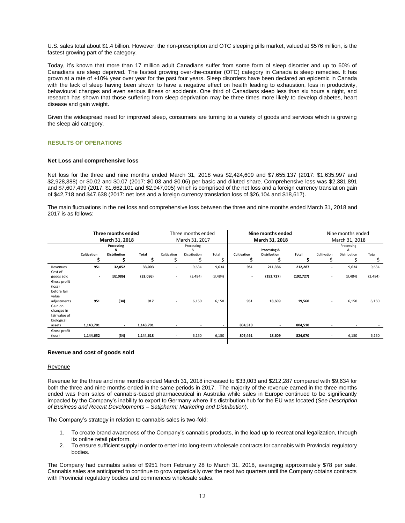U.S. sales total about \$1.4 billion. However, the non-prescription and OTC sleeping pills market, valued at \$576 million, is the fastest growing part of the category.

Today, it's known that more than 17 million adult Canadians suffer from some form of sleep disorder and up to 60% of Canadians are sleep deprived. The fastest growing over-the-counter (OTC) category in Canada is sleep remedies. It has grown at a rate of +10% year over year for the past four years. Sleep disorders have been declared an epidemic in Canada with the lack of sleep having been shown to have a negative effect on health leading to exhaustion, loss in productivity, behavioural changes and even serious illness or accidents. One third of Canadians sleep less than six hours a night, and research has shown that those suffering from sleep deprivation may be three times more likely to develop diabetes, heart disease and gain weight.

Given the widespread need for improved sleep, consumers are turning to a variety of goods and services which is growing the sleep aid category.

# **RESULTS OF OPERATIONS**

# **Net Loss and comprehensive loss**

Net loss for the three and nine months ended March 31, 2018 was \$2,424,609 and \$7,655,137 (2017: \$1,635,997 and \$2,928,388) or \$0.02 and \$0.07 (2017: \$0.03 and \$0.06) per basic and diluted share. Comprehensive loss was \$2,381,891 and \$7,607,499 (2017: \$1,662,101 and \$2,947,005) which is comprised of the net loss and a foreign currency translation gain of \$42,718 and \$47,638 (2017: net loss and a foreign currency translation loss of \$26,104 and \$18,617).

The main fluctuations in the net loss and comprehensive loss between the three and nine months ended March 31, 2018 and 2017 is as follows:

|                                                                                                                       | Three months ended<br>March 31, 2018 |                     |              |                                  | Three months ended |              |                    | Nine months ended   |              | Nine months ended        |              |          |  |
|-----------------------------------------------------------------------------------------------------------------------|--------------------------------------|---------------------|--------------|----------------------------------|--------------------|--------------|--------------------|---------------------|--------------|--------------------------|--------------|----------|--|
|                                                                                                                       |                                      |                     |              | March 31, 2017<br>March 31, 2018 |                    |              | March 31, 2018     |                     |              |                          |              |          |  |
|                                                                                                                       | Processing<br>&                      |                     |              | Processing<br>&                  |                    | Processing & |                    | Processing<br>&     |              |                          |              |          |  |
|                                                                                                                       | Cultivation                          | <b>Distribution</b> | <b>Total</b> | Cultivation                      | Distribution       | Total        | <b>Cultivation</b> | <b>Distribution</b> | <b>Total</b> | Cultivation              | Distribution | Total    |  |
|                                                                                                                       |                                      |                     |              |                                  |                    |              |                    |                     |              |                          |              | \$       |  |
| Revenues<br>Cost of                                                                                                   | 951                                  | 32,052              | 33,003       | ٠                                | 9,634              | 9,634        | 951                | 211,336             | 212,287      | ٠                        | 9,634        | 9,634    |  |
| goods sold                                                                                                            | $\overline{\phantom{a}}$             | (32,086)            | (32,086)     | ٠                                | (3,484)            | (3, 484)     |                    | (192, 727)          | (192, 727)   | ٠                        | (3,484)      | (3, 484) |  |
| Gross profit<br>(loss)<br>before fair<br>value<br>adjustments<br>Gain on<br>changes in<br>fair value of<br>biological | 951                                  | (34)                | 917          | $\overline{\phantom{a}}$         | 6,150              | 6,150        | 951                | 18,609              | 19,560       | ٠                        | 6,150        | 6,150    |  |
| assets                                                                                                                | 1,143,701                            |                     | 1,143,701    |                                  |                    |              | 804,510            |                     | 804,510      |                          |              |          |  |
| Gross profit<br>(loss)                                                                                                | 1,144,652                            | (34)                | 1,144,618    |                                  | 6,150              | 6,150        | 805,461            | 18,609              | 824,070      | $\overline{\phantom{a}}$ | 6,150        | 6,150    |  |
|                                                                                                                       |                                      |                     |              |                                  |                    |              |                    |                     |              |                          |              |          |  |

#### **Revenue and cost of goods sold**

#### Revenue

Revenue for the three and nine months ended March 31, 2018 increased to \$33,003 and \$212,287 compared with \$9,634 for both the three and nine months ended in the same periods in 2017. The majority of the revenue earned in the three months ended was from sales of cannabis-based pharmaceutical in Australia while sales in Europe continued to be significantly impacted by the Company's inability to export to Germany where it's distribution hub for the EU was located (*See Description of Business and Recent Developments – Satipharm; Marketing and Distribution*).

The Company's strategy in relation to cannabis sales is two-fold:

- 1. To create brand awareness of the Company's cannabis products, in the lead up to recreational legalization, through its online retail platform.
- 2. To ensure sufficient supply in order to enter into long-term wholesale contracts for cannabis with Provincial regulatory bodies.

The Company had cannabis sales of \$951 from February 28 to March 31, 2018, averaging approximately \$78 per sale. Cannabis sales are anticipated to continue to grow organically over the next two quarters until the Company obtains contracts with Provincial regulatory bodies and commences wholesale sales.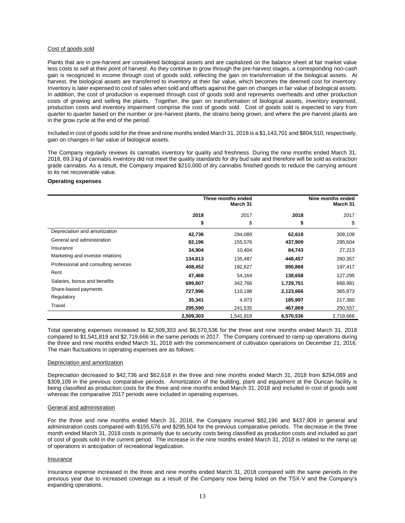# Cost of goods sold

Plants that are in pre-harvest are considered biological assets and are capitalized on the balance sheet at fair market value less costs to sell at their point of harvest. As they continue to grow through the pre-harvest stages, a corresponding non-cash gain is recognized in income through cost of goods sold, reflecting the gain on transformation of the biological assets. At harvest, the biological assets are transferred to inventory at their fair value, which becomes the deemed cost for inventory. Inventory is later expensed to cost of sales when sold and offsets against the gain on changes in fair value of biological assets. In addition, the cost of production is expensed through cost of goods sold and represents overheads and other production costs of growing and selling the plants. Together, the gain on transformation of biological assets, inventory expensed, production costs and inventory impairment comprise the cost of goods sold. Cost of goods sold is expected to vary from quarter to quarter based on the number or pre-harvest plants, the strains being grown, and where the pre-harvest plants are in the grow cycle at the end of the period.

Included in cost of goods sold for the three and nine months ended March 31, 2018 is a \$1,143,701 and \$804,510, respectively, gain on changes in fair value of biological assets.

The Company regularly reviews its cannabis inventory for quality and freshness. During the nine months ended March 31, 2018, 69.3 kg of cannabis inventory did not meet the quality standards for dry bud sale and therefore will be sold as extraction grade cannabis. As a result, the Company impaired \$210,000 of dry cannabis finished goods to reduce the carrying amount to its net recoverable value.

# **Operating expenses**

|                                      | Three months ended<br>March 31 |           |           | Nine months ended<br>March 31 |
|--------------------------------------|--------------------------------|-----------|-----------|-------------------------------|
|                                      | 2018                           | 2017      | 2018      | 2017                          |
|                                      | \$                             | \$        | \$        | \$                            |
| Depreciation and amortization        | 42,736                         | 294,089   | 62,618    | 309,109                       |
| General and administration           | 82,196                         | 155,576   | 437,909   | 295,504                       |
| Insurance                            | 34,904                         | 10,404    | 84,743    | 27,213                        |
| Marketing and investor relations     | 134,813                        | 135,487   | 448,457   | 260,357                       |
| Professional and consulting services | 408,452                        | 192,627   | 890,868   | 197,417                       |
| Rent                                 | 47,468                         | 54,164    | 138,658   | 127,295                       |
| Salaries, bonus and benefits         | 699,807                        | 342,766   | 1,729,751 | 668,981                       |
| Share-based payments                 | 727,996                        | 110,198   | 2,123,666 | 365,873                       |
| Regulatory                           | 35,341                         | 4,973     | 185,997   | 217,360                       |
| Travel                               | 295,590                        | 241,535   | 467,869   | 250,557                       |
|                                      | 2,509,303                      | 1,541,819 | 6,570,536 | 2,719,666                     |

Total operating expenses increased to \$2,509,303 and \$6,570,536 for the three and nine months ended March 31, 2018 compared to \$1,541,819 and \$2,719,666 in the same periods in 2017. The Company continued to ramp up operations during the three and nine months ended March 31, 2018 with the commencement of cultivation operations on December 21, 2016. The main fluctuations in operating expenses are as follows:

# Depreciation and amortization

Depreciation decreased to \$42,736 and \$62,618 in the three and nine months ended March 31, 2018 from \$294,089 and \$309,109 in the previous comparative periods. Amortization of the building, plant and equipment at the Duncan facility is being classified as production costs for the three and nine months ended March 31, 2018 and included in cost of goods sold whereas the comparative 2017 periods were included in operating expenses.

# General and administration

For the three and nine months ended March 31, 2018, the Company incurred \$82,196 and \$437,909 in general and administration costs compared with \$155,576 and \$295,504 for the previous comparative periods. The decrease in the three month ended March 31, 2018 costs is primarily due to security costs being classified as production costs and included as part of cost of goods sold in the current period. The increase in the nine months ended March 31, 2018 is related to the ramp up of operations in anticipation of recreational legalization.

# Insurance

Insurance expense increased in the three and nine months ended March 31, 2018 compared with the same periods in the previous year due to increased coverage as a result of the Company now being listed on the TSX-V and the Company's expanding operations.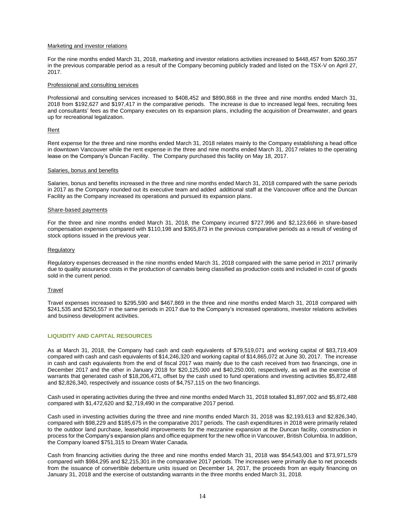#### Marketing and investor relations

For the nine months ended March 31, 2018, marketing and investor relations activities increased to \$448,457 from \$260,357 in the previous comparable period as a result of the Company becoming publicly traded and listed on the TSX-V on April 27, 2017.

#### Professional and consulting services

Professional and consulting services increased to \$408,452 and \$890,868 in the three and nine months ended March 31, 2018 from \$192,627 and \$197,417 in the comparative periods. The increase is due to increased legal fees, recruiting fees and consultants' fees as the Company executes on its expansion plans, including the acquisition of Dreamwater, and gears up for recreational legalization.

## Rent

Rent expense for the three and nine months ended March 31, 2018 relates mainly to the Company establishing a head office in downtown Vancouver while the rent expense in the three and nine months ended March 31, 2017 relates to the operating lease on the Company's Duncan Facility. The Company purchased this facility on May 18, 2017.

#### Salaries, bonus and benefits

Salaries, bonus and benefits increased in the three and nine months ended March 31, 2018 compared with the same periods in 2017 as the Company rounded out its executive team and added additional staff at the Vancouver office and the Duncan Facility as the Company increased its operations and pursued its expansion plans.

#### Share-based payments

For the three and nine months ended March 31, 2018, the Company incurred \$727,996 and \$2,123,666 in share-based compensation expenses compared with \$110,198 and \$365,873 in the previous comparative periods as a result of vesting of stock options issued in the previous year.

## **Regulatory**

Regulatory expenses decreased in the nine months ended March 31, 2018 compared with the same period in 2017 primarily due to quality assurance costs in the production of cannabis being classified as production costs and included in cost of goods sold in the current period.

# **Travel**

Travel expenses increased to \$295,590 and \$467,869 in the three and nine months ended March 31, 2018 compared with \$241,535 and \$250,557 in the same periods in 2017 due to the Company's increased operations, investor relations activities and business development activities.

# **LIQUIDITY AND CAPITAL RESOURCES**

As at March 31, 2018, the Company had cash and cash equivalents of \$79,519,071 and working capital of \$83,719,409 compared with cash and cash equivalents of \$14,246,320 and working capital of \$14,865,072 at June 30, 2017. The increase in cash and cash equivalents from the end of fiscal 2017 was mainly due to the cash received from two financings, one in December 2017 and the other in January 2018 for \$20,125,000 and \$40,250.000, respectively, as well as the exercise of warrants that generated cash of \$18,206,471, offset by the cash used to fund operations and investing activities \$5,872,488 and \$2,826,340, respectively and issuance costs of \$4,757,115 on the two financings.

Cash used in operating activities during the three and nine months ended March 31, 2018 totalled \$1,897,002 and \$5,872,488 compared with \$1,472,620 and \$2,719,490 in the comparative 2017 period.

Cash used in investing activities during the three and nine months ended March 31, 2018 was \$2,193,613 and \$2,826,340, compared with \$98,229 and \$185,675 in the comparative 2017 periods. The cash expenditures in 2018 were primarily related to the outdoor land purchase, leasehold improvements for the mezzanine expansion at the Duncan facility, construction in process for the Company's expansion plans and office equipment for the new office in Vancouver, British Columbia. In addition, the Company loaned \$751,315 to Dream Water Canada.

Cash from financing activities during the three and nine months ended March 31, 2018 was \$54,543,001 and \$73,971,579 compared with \$984,295 and \$2,215,301 in the comparative 2017 periods. The increases were primarily due to net proceeds from the issuance of convertible debenture units issued on December 14, 2017, the proceeds from an equity financing on January 31, 2018 and the exercise of outstanding warrants in the three months ended March 31, 2018.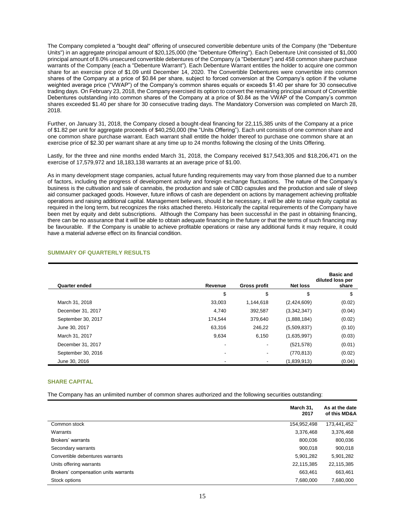The Company completed a "bought deal" offering of unsecured convertible debenture units of the Company (the "Debenture Units") in an aggregate principal amount of \$20,125,000 (the "Debenture Offering"). Each Debenture Unit consisted of \$1,000 principal amount of 8.0% unsecured convertible debentures of the Company (a "Debenture") and 458 common share purchase warrants of the Company (each a "Debenture Warrant"). Each Debenture Warrant entitles the holder to acquire one common share for an exercise price of \$1.09 until December 14, 2020. The Convertible Debentures were convertible into common shares of the Company at a price of \$0.84 per share, subject to forced conversion at the Company's option if the volume weighted average price ("VWAP") of the Company's common shares equals or exceeds \$1.40 per share for 30 consecutive trading days. On February 23, 2018, the Company exercised its option to convert the remaining principal amount of Convertible Debentures outstanding into common shares of the Company at a price of \$0.84 as the VWAP of the Company's common shares exceeded \$1.40 per share for 30 consecutive trading days. The Mandatory Conversion was completed on March 28, 2018.

Further, on January 31, 2018, the Company closed a bought-deal financing for 22,115,385 units of the Company at a price of \$1.82 per unit for aggregate proceeds of \$40,250,000 (the "Units Offering"). Each unit consists of one common share and one common share purchase warrant. Each warrant shall entitle the holder thereof to purchase one common share at an exercise price of \$2.30 per warrant share at any time up to 24 months following the closing of the Units Offering.

Lastly, for the three and nine months ended March 31, 2018, the Company received \$17,543,305 and \$18,206,471 on the exercise of 17,579,972 and 18,183,138 warrants at an average price of \$1.00.

As in many development stage companies, actual future funding requirements may vary from those planned due to a number of factors, including the progress of development activity and foreign exchange fluctuations. The nature of the Company's business is the cultivation and sale of cannabis, the production and sale of CBD capsules and the production and sale of sleep aid consumer packaged goods. However, future inflows of cash are dependent on actions by management achieving profitable operations and raising additional capital. Management believes, should it be necessary, it will be able to raise equity capital as required in the long term, but recognizes the risks attached thereto. Historically the capital requirements of the Company have been met by equity and debt subscriptions. Although the Company has been successful in the past in obtaining financing, there can be no assurance that it will be able to obtain adequate financing in the future or that the terms of such financing may be favourable. If the Company is unable to achieve profitable operations or raise any additional funds it may require, it could have a material adverse effect on its financial condition.

| <b>Quarter ended</b> | Revenue | <b>Gross profit</b> | <b>Net loss</b> | <b>Basic and</b><br>diluted loss per<br>share |
|----------------------|---------|---------------------|-----------------|-----------------------------------------------|
|                      | \$      | \$                  | \$              | \$                                            |
| March 31, 2018       | 33,003  | 1,144,618           | (2,424,609)     | (0.02)                                        |
| December 31, 2017    | 4.740   | 392,587             | (3,342,347)     | (0.04)                                        |
| September 30, 2017   | 174.544 | 379,640             | (1,888,184)     | (0.02)                                        |
| June 30, 2017        | 63,316  | 246,22              | (5,509,837)     | (0.10)                                        |
| March 31, 2017       | 9,634   | 6,150               | (1,635,997)     | (0.03)                                        |
| December 31, 2017    | ٠       |                     | (521, 578)      | (0.01)                                        |
| September 30, 2016   | ٠       |                     | (770, 813)      | (0.02)                                        |
| June 30, 2016        |         |                     | (1,839,913)     | (0.04)                                        |

# **SUMMARY OF QUARTERLY RESULTS**

# **SHARE CAPITAL**

The Company has an unlimited number of common shares authorized and the following securities outstanding:

|                                      | March 31,<br>2017 | As at the date<br>of this MD&A |
|--------------------------------------|-------------------|--------------------------------|
| Common stock                         | 154,952,498       | 173,441,452                    |
| Warrants                             | 3,376,468         | 3,376,468                      |
| Brokers' warrants                    | 800.036           | 800,036                        |
| Secondary warrants                   | 900,018           | 900,018                        |
| Convertible debentures warrants      | 5,901,282         | 5,901,282                      |
| Units offering warrants              | 22,115,385        | 22,115,385                     |
| Brokers' compensation units warrants | 663,461           | 663,461                        |
| Stock options                        | 7,680,000         | 7,680,000                      |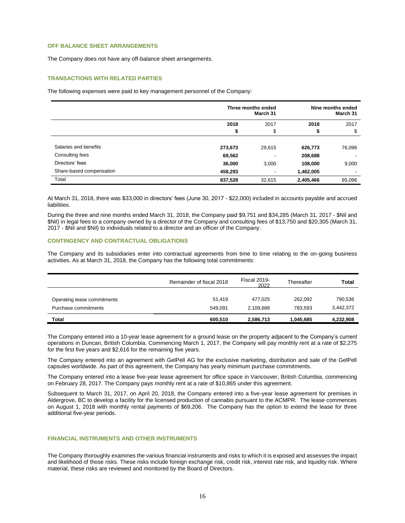# **OFF BALANCE SHEET ARRANGEMENTS**

The Company does not have any off-balance sheet arrangements.

# **TRANSACTIONS WITH RELATED PARTIES**

The following expenses were paid to key management personnel of the Company:

|                          | Three months ended<br>March 31 |        | Nine months ended<br>March 31 |        |
|--------------------------|--------------------------------|--------|-------------------------------|--------|
|                          | 2018                           | 2017   | 2018                          | 2017   |
|                          | \$                             | \$     | \$                            | \$     |
| Salaries and benefits    | 273,673                        | 29,615 | 626,773                       | 76,096 |
| Consulting fees          | 69,562                         | ٠      | 208,688                       |        |
| Directors' fees          | 36,000                         | 3,000  | 108,000                       | 9,000  |
| Share-based compensation | 458,293                        |        | 1,462,005                     |        |
| Total                    | 837,528                        | 32,615 | 2,405,466                     | 85,096 |

At March 31, 2018, there was \$33,000 in directors' fees (June 30, 2017 - \$22,000) included in accounts payable and accrued liabilities.

During the three and nine months ended March 31, 2018, the Company paid \$9,751 and \$34,285 (March 31, 2017 - \$Nil and \$Nil) in legal fees to a company owned by a director of the Company and consulting fees of \$13,750 and \$20,305 (March 31, 2017 - \$Nil and \$Nil) to individuals related to a director and an officer of the Company.

# **CONTINGENCY AND CONTRACTUAL OBLIGATIONS**

The Company and its subsidiaries enter into contractual agreements from time to time relating to the on-going business activities. As at March 31, 2018, the Company has the following total commitments:

|                                                     | Remainder of fiscal 2018 | <b>Fiscal 2019-</b><br>2022 | Thereafter         | Total                |
|-----------------------------------------------------|--------------------------|-----------------------------|--------------------|----------------------|
| Operating lease commitments<br>Purchase commitments | 51.419<br>549.091        | 477.025<br>2.109.688        | 262.092<br>783.593 | 790,536<br>3,442,372 |
| Total                                               | 600.510                  | 2,586,713                   | 1,045,685          | 4,232,908            |

The Company entered into a 10-year lease agreement for a ground lease on the property adjacent to the Company's current operations in Duncan, British Columbia. Commencing March 1, 2017, the Company will pay monthly rent at a rate of \$2,275 for the first five years and \$2,616 for the remaining five years.

The Company entered into an agreement with GelPell AG for the exclusive marketing, distribution and sale of the GelPell capsules worldwide. As part of this agreement, the Company has yearly minimum purchase commitments.

The Company entered into a lease five-year lease agreement for office space in Vancouver, British Columbia, commencing on February 28, 2017. The Company pays monthly rent at a rate of \$10,865 under this agreement.

Subsequent to March 31, 2017, on April 20, 2018, the Company entered into a five-year lease agreement for premises in Aldergrove, BC to develop a facility for the licensed production of cannabis pursuant to the ACMPR. The lease commences on August 1, 2018 with monthly rental payments of \$69,206. The Company has the option to extend the lease for three additional five-year periods.

# **FINANCIAL INSTRUMENTS AND OTHER INSTRUMENTS**

The Company thoroughly examines the various financial instruments and risks to which it is exposed and assesses the impact and likelihood of those risks. These risks include foreign exchange risk, credit risk, interest rate risk, and liquidity risk. Where material, these risks are reviewed and monitored by the Board of Directors.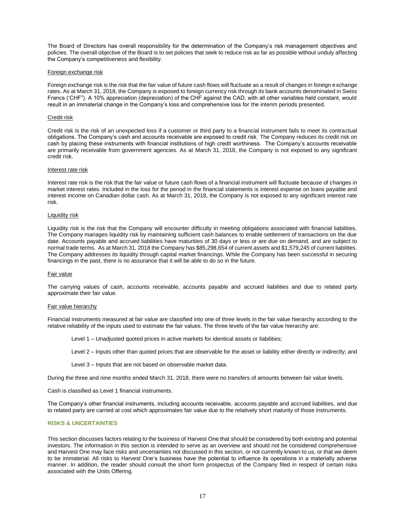The Board of Directors has overall responsibility for the determination of the Company's risk management objectives and policies. The overall objective of the Board is to set policies that seek to reduce risk as far as possible without unduly affecting the Company's competitiveness and flexibility.

# Foreign exchange risk

Foreign exchange risk is the risk that the fair value of future cash flows will fluctuate as a result of changes in foreign exchange rates. As at March 31, 2018, the Company is exposed to foreign currency risk through its bank accounts denominated in Swiss Francs ('CHF"). A 10% appreciation (depreciation) of the CHF against the CAD, with all other variables held constant, would result in an immaterial change in the Company's loss and comprehensive loss for the interim periods presented.

#### Credit risk

Credit risk is the risk of an unexpected loss if a customer or third party to a financial instrument fails to meet its contractual obligations. The Company's cash and accounts receivable are exposed to credit risk. The Company reduces its credit risk on cash by placing these instruments with financial institutions of high credit worthiness. The Company's accounts receivable are primarily receivable from government agencies. As at March 31, 2018, the Company is not exposed to any significant credit risk.

#### Interest rate risk

Interest rate risk is the risk that the fair value or future cash flows of a financial instrument will fluctuate because of changes in market interest rates. Included in the loss for the period in the financial statements is interest expense on loans payable and interest income on Canadian dollar cash. As at March 31, 2018, the Company is not exposed to any significant interest rate risk.

## Liquidity risk

Liquidity risk is the risk that the Company will encounter difficulty in meeting obligations associated with financial liabilities. The Company manages liquidity risk by maintaining sufficient cash balances to enable settlement of transactions on the due date. Accounts payable and accrued liabilities have maturities of 30 days or less or are due on demand, and are subject to normal trade terms. As at March 31, 2018 the Company has \$85,298,654 of current assets and \$1,579,245 of current liabilites. The Company addresses its liquidity through capital market financings. While the Company has been successful in securing financings in the past, there is no assurance that it will be able to do so in the future.

#### Fair value

The carrying values of cash, accounts receivable, accounts payable and accrued liabilities and due to related party approximate their fair value.

#### Fair value hierarchy

Financial instruments measured at fair value are classified into one of three levels in the fair value hierarchy according to the relative reliability of the inputs used to estimate the fair values. The three levels of the fair value hierarchy are:

Level 1 – Unadjusted quoted prices in active markets for identical assets or liabilities;

Level 2 – Inputs other than quoted prices that are observable for the asset or liability either directly or indirectly; and

Level 3 – Inputs that are not based on observable market data.

During the three and nine months ended March 31, 2018, there were no transfers of amounts between fair value levels.

Cash is classified as Level 1 financial instruments.

The Company's other financial instruments, including accounts receivable, accounts payable and accrued liabilities, and due to related party are carried at cost which approximates fair value due to the relatively short maturity of those instruments.

# **RISKS & UNCERTAINTIES**

This section discusses factors relating to the business of Harvest One that should be considered by both existing and potential investors. The information in this section is intended to serve as an overview and should not be considered comprehensive and Harvest One may face risks and uncertainties not discussed in this section, or not currently known to us, or that we deem to be immaterial. All risks to Harvest One's business have the potential to influence its operations in a materially adverse manner. In addition, the reader should consult the short form prospectus of the Company filed in respect of certain risks associated with the Units Offering.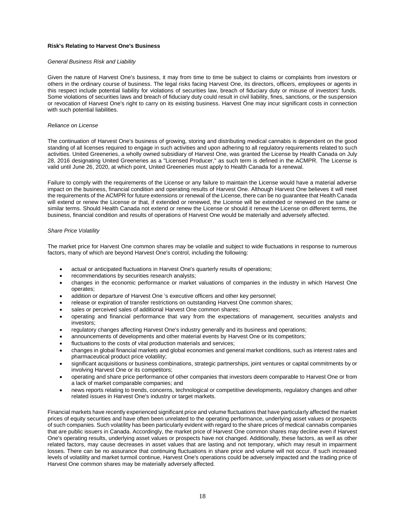# **Risk's Relating to Harvest One's Business**

# *General Business Risk and Liability*

Given the nature of Harvest One's business, it may from time to time be subject to claims or complaints from investors or others in the ordinary course of business. The legal risks facing Harvest One, its directors, officers, employees or agents in this respect include potential liability for violations of securities law, breach of fiduciary duty or misuse of investors' funds. Some violations of securities laws and breach of fiduciary duty could result in civil liability, fines, sanctions, or the suspension or revocation of Harvest One's right to carry on its existing business. Harvest One may incur significant costs in connection with such potential liabilities.

#### *Reliance on License*

The continuation of Harvest One's business of growing, storing and distributing medical cannabis is dependent on the good standing of all licenses required to engage in such activities and upon adhering to all regulatory requirements related to such activities. United Greeneries, a wholly owned subsidiary of Harvest One, was granted the License by Health Canada on July 28, 2016 designating United Greeneries as a "Licensed Producer," as such term is defined in the ACMPR. The License is valid until June 26, 2020, at which point, United Greeneries must apply to Health Canada for a renewal.

Failure to comply with the requirements of the License or any failure to maintain the License would have a material adverse impact on the business, financial condition and operating results of Harvest One. Although Harvest One believes it will meet the requirements of the ACMPR for future extensions or renewal of the License, there can be no guarantee that Health Canada will extend or renew the License or that, if extended or renewed, the License will be extended or renewed on the same or similar terms. Should Health Canada not extend or renew the License or should it renew the License on different terms, the business, financial condition and results of operations of Harvest One would be materially and adversely affected.

## *Share Price Volatility*

The market price for Harvest One common shares may be volatile and subject to wide fluctuations in response to numerous factors, many of which are beyond Harvest One's control, including the following:

- actual or anticipated fluctuations in Harvest One's quarterly results of operations;
- recommendations by securities research analysts;
- changes in the economic performance or market valuations of companies in the industry in which Harvest One operates;
- addition or departure of Harvest One 's executive officers and other key personnel;
- release or expiration of transfer restrictions on outstanding Harvest One common shares;
- sales or perceived sales of additional Harvest One common shares;
- operating and financial performance that vary from the expectations of management, securities analysts and investors;
- regulatory changes affecting Harvest One's industry generally and its business and operations;
- announcements of developments and other material events by Harvest One or its competitors;
- fluctuations to the costs of vital production materials and services;
- changes in global financial markets and global economies and general market conditions, such as interest rates and pharmaceutical product price volatility;
- significant acquisitions or business combinations, strategic partnerships, joint ventures or capital commitments by or involving Harvest One or its competitors;
- operating and share price performance of other companies that investors deem comparable to Harvest One or from a lack of market comparable companies; and
- news reports relating to trends, concerns, technological or competitive developments, regulatory changes and other related issues in Harvest One's industry or target markets.

Financial markets have recently experienced significant price and volume fluctuations that have particularly affected the market prices of equity securities and have often been unrelated to the operating performance, underlying asset values or prospects of such companies. Such volatility has been particularly evident with regard to the share prices of medical cannabis companies that are public issuers in Canada. Accordingly, the market price of Harvest One common shares may decline even if Harvest One's operating results, underlying asset values or prospects have not changed. Additionally, these factors, as well as other related factors, may cause decreases in asset values that are lasting and not temporary, which may result in impairment losses. There can be no assurance that continuing fluctuations in share price and volume will not occur. If such increased levels of volatility and market turmoil continue, Harvest One's operations could be adversely impacted and the trading price of Harvest One common shares may be materially adversely affected.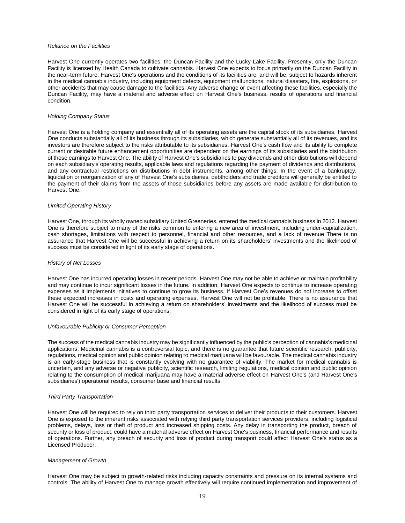#### *Reliance on the Facilities*

Harvest One currently operates two facilities: the Duncan Facility and the Lucky Lake Facility. Presently, only the Duncan Facility is licensed by Health Canada to cultivate cannabis. Harvest One expects to focus primarily on the Duncan Facility in the near-term future. Harvest One's operations and the conditions of its facilities are, and will be, subject to hazards inherent in the medical cannabis industry, including equipment defects, equipment malfunctions, natural disasters, fire, explosions, or other accidents that may cause damage to the facilities. Any adverse change or event affecting these facilities, especially the Duncan Facility, may have a material and adverse effect on Harvest One's business, results of operations and financial condition.

#### *Holding Company Status*

Harvest One is a holding company and essentially all of its operating assets are the capital stock of its subsidiaries. Harvest One conducts substantially all of its business through its subsidiaries, which generate substantially all of its revenues, and its investors are therefore subject to the risks attributable to its subsidiaries. Harvest One's cash flow and its ability to complete current or desirable future enhancement opportunities are dependent on the earnings of its subsidiaries and the distribution of those earnings to Harvest One. The ability of Harvest One's subsidiaries to pay dividends and other distributions will depend on each subsidiary's operating results, applicable laws and regulations regarding the payment of dividends and distributions, and any contractual restrictions on distributions in debt instruments, among other things. In the event of a bankruptcy, liquidation or reorganization of any of Harvest One's subsidiaries, debtholders and trade creditors will generally be entitled to the payment of their claims from the assets of those subsidiaries before any assets are made available for distribution to Harvest One.

#### *Limited Operating History*

Harvest One, through its wholly owned subsidiary United Greeneries, entered the medical cannabis business in 2012. Harvest One is therefore subject to many of the risks common to entering a new area of investment, including under-capitalization, cash shortages, limitations with respect to personnel, financial and other resources, and a lack of revenue There is no assurance that Harvest One will be successful in achieving a return on its shareholders' investments and the likelihood of success must be considered in light of its early stage of operations.

#### *History of Net Losses*

Harvest One has incurred operating losses in recent periods. Harvest One may not be able to achieve or maintain profitability and may continue to incur significant losses in the future. In addition, Harvest One expects to continue to increase operating expenses as it implements initiatives to continue to grow its business. If Harvest One's revenues do not increase to offset these expected increases in costs and operating expenses, Harvest One will not be profitable. There is no assurance that Harvest One will be successful in achieving a return on shareholders' investments and the likelihood of success must be considered in light of its early stage of operations.

#### *Unfavourable Publicity or Consumer Perception*

The success of the medical cannabis industry may be significantly influenced by the public's perception of cannabis's medicinal applications. Medicinal cannabis is a controversial topic, and there is no guarantee that future scientific research, publicity, regulations, medical opinion and public opinion relating to medical marijuana will be favourable. The medical cannabis industry is an early-stage business that is constantly evolving with no guarantee of viability. The market for medical cannabis is uncertain, and any adverse or negative publicity, scientific research, limiting regulations, medical opinion and public opinion relating to the consumption of medical marijuana may have a material adverse effect on Harvest One's (and Harvest One's subsidiaries') operational results, consumer base and financial results.

#### *Third Party Transportation*

Harvest One will be required to rely on third party transportation services to deliver their products to their customers. Harvest One is exposed to the inherent risks associated with relying third party transportation services providers, including logistical problems, delays, loss or theft of product and increased shipping costs. Any delay in transporting the product, breach of security or loss of product, could have a material adverse effect on Harvest One's business, financial performance and results of operations. Further, any breach of security and loss of product during transport could affect Harvest One's status as a Licensed Producer.

### *Management of Growth*

Harvest One may be subject to growth-related risks including capacity constraints and pressure on its internal systems and controls. The ability of Harvest One to manage growth effectively will require continued implementation and improvement of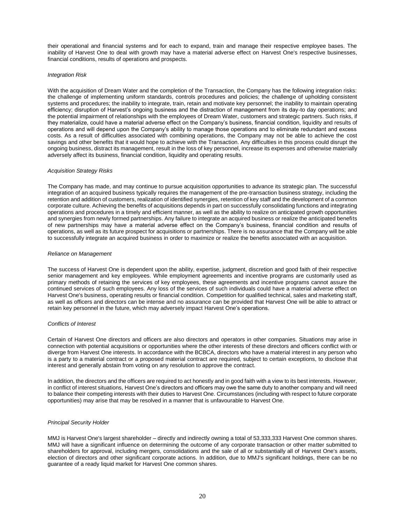their operational and financial systems and for each to expand, train and manage their respective employee bases. The inability of Harvest One to deal with growth may have a material adverse effect on Harvest One's respective businesses, financial conditions, results of operations and prospects.

# *Integration Risk*

With the acquisition of Dream Water and the completion of the Transaction, the Company has the following integration risks: the challenge of implementing uniform standards, controls procedures and policies; the challenge of upholding consistent systems and procedures; the inability to integrate, train, retain and motivate key personnel; the inability to maintain operating efficiency; disruption of Harvest's ongoing business and the distraction of management from its day-to day operations; and the potential impairment of relationships with the employees of Dream Water, customers and strategic partners. Such risks, if they materialize, could have a material adverse effect on the Company's business, financial condition, liquidity and results of operations and will depend upon the Company's ability to manage those operations and to eliminate redundant and excess costs. As a result of difficulties associated with combining operations, the Company may not be able to achieve the cost savings and other benefits that it would hope to achieve with the Transaction. Any difficulties in this process could disrupt the ongoing business, distract its management, result in the loss of key personnel, increase its expenses and otherwise materially adversely affect its business, financial condition, liquidity and operating results.

# *Acquisition Strategy Risks*

The Company has made, and may continue to pursue acquisition opportunities to advance its strategic plan. The successful integration of an acquired business typically requires the management of the pre-transaction business strategy, including the retention and addition of customers, realization of identified synergies, retention of key staff and the development of a common corporate culture. Achieving the benefits of acquisitions depends in part on successfully consolidating functions and integrating operations and procedures in a timely and efficient manner, as well as the ability to realize on anticipated growth opportunities and synergies from newly formed partnerships. Any failure to integrate an acquired business or realize the anticipated benefits of new partnerships may have a material adverse effect on the Company's business, financial condition and results of operations, as well as its future prospect for acquisitions or partnerships. There is no assurance that the Company will be able to successfully integrate an acquired business in order to maximize or realize the benefits associated with an acquisition.

#### *Reliance on Management*

The success of Harvest One is dependent upon the ability, expertise, judgment, discretion and good faith of their respective senior management and key employees. While employment agreements and incentive programs are customarily used as primary methods of retaining the services of key employees, these agreements and incentive programs cannot assure the continued services of such employees. Any loss of the services of such individuals could have a material adverse effect on Harvest One's business, operating results or financial condition. Competition for qualified technical, sales and marketing staff, as well as officers and directors can be intense and no assurance can be provided that Harvest One will be able to attract or retain key personnel in the future, which may adversely impact Harvest One's operations.

#### *Conflicts of Interest*

Certain of Harvest One directors and officers are also directors and operators in other companies. Situations may arise in connection with potential acquisitions or opportunities where the other interests of these directors and officers conflict with or diverge from Harvest One interests. In accordance with the BCBCA, directors who have a material interest in any person who is a party to a material contract or a proposed material contract are required, subject to certain exceptions, to disclose that interest and generally abstain from voting on any resolution to approve the contract.

In addition, the directors and the officers are required to act honestly and in good faith with a view to its best interests. However, in conflict of interest situations, Harvest One's directors and officers may owe the same duty to another company and will need to balance their competing interests with their duties to Harvest One. Circumstances (including with respect to future corporate opportunities) may arise that may be resolved in a manner that is unfavourable to Harvest One.

# *Principal Security Holder*

MMJ is Harvest One's largest shareholder – directly and indirectly owning a total of 53,333,333 Harvest One common shares. MMJ will have a significant influence on determining the outcome of any corporate transaction or other matter submitted to shareholders for approval, including mergers, consolidations and the sale of all or substantially all of Harvest One's assets, election of directors and other significant corporate actions. In addition, due to MMJ's significant holdings, there can be no guarantee of a ready liquid market for Harvest One common shares.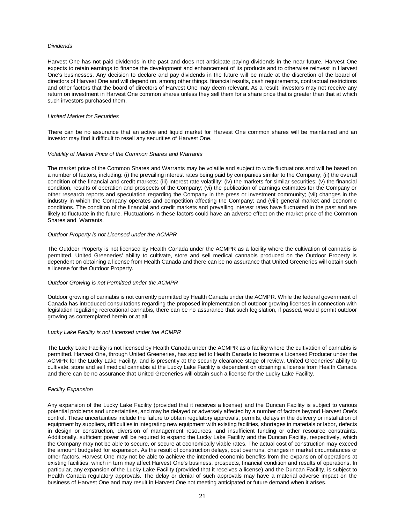#### *Dividends*

Harvest One has not paid dividends in the past and does not anticipate paying dividends in the near future. Harvest One expects to retain earnings to finance the development and enhancement of its products and to otherwise reinvest in Harvest One's businesses. Any decision to declare and pay dividends in the future will be made at the discretion of the board of directors of Harvest One and will depend on, among other things, financial results, cash requirements, contractual restrictions and other factors that the board of directors of Harvest One may deem relevant. As a result, investors may not receive any return on investment in Harvest One common shares unless they sell them for a share price that is greater than that at which such investors purchased them.

## *Limited Market for Securities*

There can be no assurance that an active and liquid market for Harvest One common shares will be maintained and an investor may find it difficult to resell any securities of Harvest One.

#### *Volatility of Market Price of the Common Shares and Warrants*

The market price of the Common Shares and Warrants may be volatile and subject to wide fluctuations and will be based on a number of factors, including: (i) the prevailing interest rates being paid by companies similar to the Company; (ii) the overall condition of the financial and credit markets; (iii) interest rate volatility; (iv) the markets for similar securities; (v) the financial condition, results of operation and prospects of the Company; (vi) the publication of earnings estimates for the Company or other research reports and speculation regarding the Company in the press or investment community; (vii) changes in the industry in which the Company operates and competition affecting the Company; and (viii) general market and economic conditions. The condition of the financial and credit markets and prevailing interest rates have fluctuated in the past and are likely to fluctuate in the future. Fluctuations in these factors could have an adverse effect on the market price of the Common Shares and Warrants.

## *Outdoor Property is not Licensed under the ACMPR*

The Outdoor Property is not licensed by Health Canada under the ACMPR as a facility where the cultivation of cannabis is permitted. United Greeneries' ability to cultivate, store and sell medical cannabis produced on the Outdoor Property is dependent on obtaining a license from Health Canada and there can be no assurance that United Greeneries will obtain such a license for the Outdoor Property.

## *Outdoor Growing is not Permitted under the ACMPR*

Outdoor growing of cannabis is not currently permitted by Health Canada under the ACMPR. While the federal government of Canada has introduced consultations regarding the proposed implementation of outdoor growing licenses in connection with legislation legalizing recreational cannabis, there can be no assurance that such legislation, if passed, would permit outdoor growing as contemplated herein or at all.

#### *Lucky Lake Facility is not Licensed under the ACMPR*

The Lucky Lake Facility is not licensed by Health Canada under the ACMPR as a facility where the cultivation of cannabis is permitted. Harvest One, through United Greeneries, has applied to Health Canada to become a Licensed Producer under the ACMPR for the Lucky Lake Facility, and is presently at the security clearance stage of review. United Greeneries' ability to cultivate, store and sell medical cannabis at the Lucky Lake Facility is dependent on obtaining a license from Health Canada and there can be no assurance that United Greeneries will obtain such a license for the Lucky Lake Facility.

#### *Facility Expansion*

Any expansion of the Lucky Lake Facility (provided that it receives a license) and the Duncan Facility is subject to various potential problems and uncertainties, and may be delayed or adversely affected by a number of factors beyond Harvest One's control. These uncertainties include the failure to obtain regulatory approvals, permits, delays in the delivery or installation of equipment by suppliers, difficulties in integrating new equipment with existing facilities, shortages in materials or labor, defects in design or construction, diversion of management resources, and insufficient funding or other resource constraints. Additionally, sufficient power will be required to expand the Lucky Lake Facility and the Duncan Facility, respectively, which the Company may not be able to secure, or secure at economically viable rates. The actual cost of construction may exceed the amount budgeted for expansion. As the result of construction delays, cost overruns, changes in market circumstances or other factors, Harvest One may not be able to achieve the intended economic benefits from the expansion of operations at existing facilities, which in turn may affect Harvest One's business, prospects, financial condition and results of operations. In particular, any expansion of the Lucky Lake Facility (provided that it receives a license) and the Duncan Facility, is subject to Health Canada regulatory approvals. The delay or denial of such approvals may have a material adverse impact on the business of Harvest One and may result in Harvest One not meeting anticipated or future demand when it arises.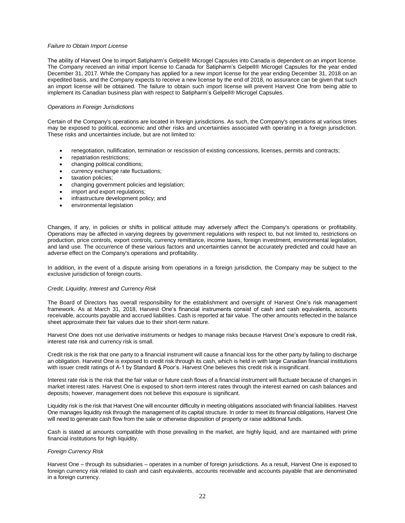#### *Failure to Obtain Import License*

The ability of Harvest One to import Satipharm's Gelpell® Microgel Capsules into Canada is dependent on an import license. The Company received an initial import license to Canada for Satipharm's Gelpell® Microgel Capsules for the year ended December 31, 2017. While the Company has applied for a new import license for the year ending December 31, 2018 on an expedited basis, and the Company expects to receive a new license by the end of 2018, no assurance can be given that such an import license will be obtained. The failure to obtain such import license will prevent Harvest One from being able to implement its Canadian business plan with respect to Satipharm's Gelpell® Microgel Capsules.

## *Operations in Foreign Jurisdictions*

Certain of the Company's operations are located in foreign jurisdictions. As such, the Company's operations at various times may be exposed to political, economic and other risks and uncertainties associated with operating in a foreign jurisdiction. These risks and uncertainties include, but are not limited to:

- renegotiation, nullification, termination or rescission of existing concessions, licenses, permits and contracts;
- repatriation restrictions;
- changing political conditions;
- currency exchange rate fluctuations;
- taxation policies;
- changing government policies and legislation;
- import and export regulations;
- infrastructure development policy; and
- environmental legislation

Changes, if any, in policies or shifts in political attitude may adversely affect the Company's operations or profitability. Operations may be affected in varying degrees by government regulations with respect to, but not limited to, restrictions on production, price controls, export controls, currency remittance, income taxes, foreign investment, environmental legislation, and land use. The occurrence of these various factors and uncertainties cannot be accurately predicted and could have an adverse effect on the Company's operations and profitability.

In addition, in the event of a dispute arising from operations in a foreign jurisdiction, the Company may be subject to the exclusive jurisdiction of foreign courts.

#### *Credit, Liquidity, Interest and Currency Risk*

The Board of Directors has overall responsibility for the establishment and oversight of Harvest One's risk management framework. As at March 31, 2018, Harvest One's financial instruments consist of cash and cash equivalents, accounts receivable, accounts payable and accrued liabilities. Cash is reported at fair value. The other amounts reflected in the balance sheet approximate their fair values due to their short-term nature.

Harvest One does not use derivative instruments or hedges to manage risks because Harvest One's exposure to credit risk, interest rate risk and currency risk is small.

Credit risk is the risk that one party to a financial instrument will cause a financial loss for the other party by failing to discharge an obligation. Harvest One is exposed to credit risk through its cash, which is held in with large Canadian financial institutions with issuer credit ratings of A-1 by Standard & Poor's. Harvest One believes this credit risk is insignificant.

Interest rate risk is the risk that the fair value or future cash flows of a financial instrument will fluctuate because of changes in market interest rates. Harvest One is exposed to short-term interest rates through the interest earned on cash balances and deposits; however, management does not believe this exposure is significant.

Liquidity risk is the risk that Harvest One will encounter difficulty in meeting obligations associated with financial liabilities. Harvest One manages liquidity risk through the management of its capital structure. In order to meet its financial obligations, Harvest One will need to generate cash flow from the sale or otherwise disposition of property or raise additional funds.

Cash is stated at amounts compatible with those prevailing in the market, are highly liquid, and are maintained with prime financial institutions for high liquidity.

#### *Foreign Currency Risk*

Harvest One – through its subsidiaries – operates in a number of foreign jurisdictions. As a result, Harvest One is exposed to foreign currency risk related to cash and cash equivalents, accounts receivable and accounts payable that are denominated in a foreign currency.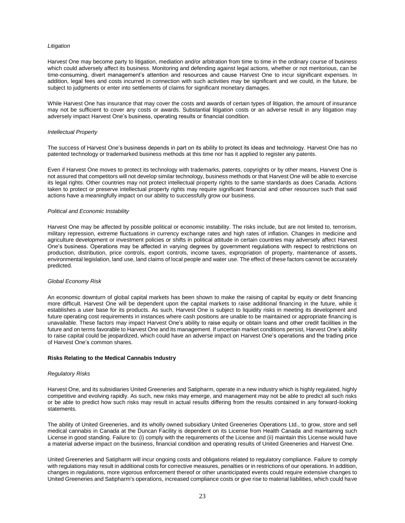# *Litigation*

Harvest One may become party to litigation, mediation and/or arbitration from time to time in the ordinary course of business which could adversely affect its business. Monitoring and defending against legal actions, whether or not meritorious, can be time-consuming, divert management's attention and resources and cause Harvest One to incur significant expenses. In addition, legal fees and costs incurred in connection with such activities may be significant and we could, in the future, be subject to judgments or enter into settlements of claims for significant monetary damages.

While Harvest One has insurance that may cover the costs and awards of certain types of litigation, the amount of insurance may not be sufficient to cover any costs or awards. Substantial litigation costs or an adverse result in any litigation may adversely impact Harvest One's business, operating results or financial condition.

## *Intellectual Property*

The success of Harvest One's business depends in part on its ability to protect its ideas and technology. Harvest One has no patented technology or trademarked business methods at this time nor has it applied to register any patents.

Even if Harvest One moves to protect its technology with trademarks, patents, copyrights or by other means, Harvest One is not assured that competitors will not develop similar technology, business methods or that Harvest One will be able to exercise its legal rights. Other countries may not protect intellectual property rights to the same standards as does Canada. Actions taken to protect or preserve intellectual property rights may require significant financial and other resources such that said actions have a meaningfully impact on our ability to successfully grow our business.

## *Political and Economic Instability*

Harvest One may be affected by possible political or economic instability. The risks include, but are not limited to, terrorism, military repression, extreme fluctuations in currency exchange rates and high rates of inflation. Changes in medicine and agriculture development or investment policies or shifts in political attitude in certain countries may adversely affect Harvest One's business. Operations may be affected in varying degrees by government regulations with respect to restrictions on production, distribution, price controls, export controls, income taxes, expropriation of property, maintenance of assets, environmental legislation, land use, land claims of local people and water use. The effect of these factors cannot be accurately predicted.

#### *Global Economy Risk*

An economic downturn of global capital markets has been shown to make the raising of capital by equity or debt financing more difficult. Harvest One will be dependent upon the capital markets to raise additional financing in the future, while it establishes a user base for its products. As such, Harvest One is subject to liquidity risks in meeting its development and future operating cost requirements in instances where cash positions are unable to be maintained or appropriate financing is unavailable. These factors may impact Harvest One's ability to raise equity or obtain loans and other credit facilities in the future and on terms favorable to Harvest One and its management. If uncertain market conditions persist, Harvest One's ability to raise capital could be jeopardized, which could have an adverse impact on Harvest One's operations and the trading price of Harvest One's common shares.

# **Risks Relating to the Medical Cannabis Industry**

### *Regulatory Risks*

Harvest One, and its subsidiaries United Greeneries and Satipharm, operate in a new industry which is highly regulated, highly competitive and evolving rapidly. As such, new risks may emerge, and management may not be able to predict all such risks or be able to predict how such risks may result in actual results differing from the results contained in any forward-looking statements.

The ability of United Greeneries, and its wholly owned subsidiary United Greeneries Operations Ltd., to grow, store and sell medical cannabis in Canada at the Duncan Facility is dependent on its License from Health Canada and maintaining such License in good standing. Failure to: (i) comply with the requirements of the License and (ii) maintain this License would have a material adverse impact on the business, financial condition and operating results of United Greeneries and Harvest One.

United Greeneries and Satipharm will incur ongoing costs and obligations related to regulatory compliance. Failure to comply with regulations may result in additional costs for corrective measures, penalties or in restrictions of our operations. In addition, changes in regulations, more vigorous enforcement thereof or other unanticipated events could require extensive changes to United Greeneries and Satipharm's operations, increased compliance costs or give rise to material liabilities, which could have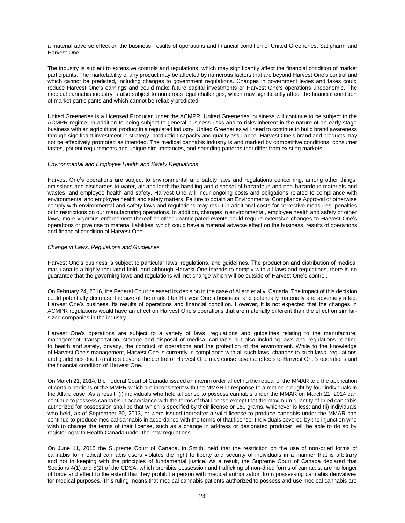a material adverse effect on the business, results of operations and financial condition of United Greeneries, Satipharm and Harvest One.

The industry is subject to extensive controls and regulations, which may significantly affect the financial condition of market participants. The marketability of any product may be affected by numerous factors that are beyond Harvest One's control and which cannot be predicted, including changes to government regulations. Changes in government levies and taxes could reduce Harvest One's earnings and could make future capital investments or Harvest One's operations uneconomic. The medical cannabis industry is also subject to numerous legal challenges, which may significantly affect the financial condition of market participants and which cannot be reliably predicted.

United Greeneries is a Licensed Producer under the ACMPR. United Greeneries' business will continue to be subject to the ACMPR regime. In addition to being subject to general business risks and to risks inherent in the nature of an early stage business with an agricultural product in a regulated industry, United Greeneries will need to continue to build brand awareness through significant investment in strategy, production capacity and quality assurance. Harvest One's brand and products may not be effectively promoted as intended. The medical cannabis industry is and marked by competitive conditions, consumer tastes, patient requirements and unique circumstances, and spending patterns that differ from existing markets.

## *Environmental and Employee Health and Safety Regulations*

Harvest One's operations are subject to environmental and safety laws and regulations concerning, among other things, emissions and discharges to water, air and land; the handling and disposal of hazardous and non-hazardous materials and wastes, and employee health and safety. Harvest One will incur ongoing costs and obligations related to compliance with environmental and employee health and safety matters. Failure to obtain an Environmental Compliance Approval or otherwise comply with environmental and safety laws and regulations may result in additional costs for corrective measures, penalties or in restrictions on our manufacturing operations. In addition, changes in environmental, employee health and safety or other laws, more vigorous enforcement thereof or other unanticipated events could require extensive changes to Harvest One's operations or give rise to material liabilities, which could have a material adverse effect on the business, results of operations and financial condition of Harvest One.

## *Change in Laws, Regulations and Guidelines*

Harvest One's business is subject to particular laws, regulations, and guidelines. The production and distribution of medical marijuana is a highly regulated field, and although Harvest One intends to comply with all laws and regulations, there is no guarantee that the governing laws and regulations will not change which will be outside of Harvest One's control.

On February 24, 2016, the Federal Court released its decision in the case of Allard et al v. Canada. The impact of this decision could potentially decrease the size of the market for Harvest One's business, and potentially materially and adversely affect Harvest One's business, its results of operations and financial condition. However, it is not expected that the changes in ACMPR regulations would have an effect on Harvest One's operations that are materially different than the effect on similarsized companies in the industry.

Harvest One's operations are subject to a variety of laws, regulations and guidelines relating to the manufacture, management, transportation, storage and disposal of medical cannabis but also including laws and regulations relating to health and safety, privacy, the conduct of operations and the protection of the environment. While to the knowledge of Harvest One's management, Harvest One is currently in compliance with all such laws, changes to such laws, regulations and guidelines due to matters beyond the control of Harvest One may cause adverse effects to Harvest One's operations and the financial condition of Harvest One.

On March 21, 2014, the Federal Court of Canada issued an interim order affecting the repeal of the MMAR and the application of certain portions of the MMPR which are inconsistent with the MMAR in response to a motion brought by four individuals in the Allard case. As a result, (i) individuals who held a license to possess cannabis under the MMAR on March 21, 2014 can continue to possess cannabis in accordance with the terms of that license except that the maximum quantity of dried cannabis authorized for possession shall be that which is specified by their license or 150 grams, whichever is less; and (ii) individuals who held, as of September 30, 2013, or were issued thereafter a valid license to produce cannabis under the MMAR can continue to produce medical cannabis in accordance with the terms of that license. Individuals covered by the injunction who wish to change the terms of their license, such as a change in address or designated producer, will be able to do so by registering with Health Canada under the new regulations.

On June 11, 2015 the Supreme Court of Canada, in Smith, held that the restriction on the use of non-dried forms of cannabis for medical cannabis users violates the right to liberty and security of individuals in a manner that is arbitrary and not in keeping with the principles of fundamental justice. As a result, the Supreme Court of Canada declared that Sections 4(1) and 5(2) of the CDSA, which prohibits possession and trafficking of non-dried forms of cannabis, are no longer of force and effect to the extent that they prohibit a person with medical authorization from possessing cannabis derivatives for medical purposes. This ruling means that medical cannabis patients authorized to possess and use medical cannabis are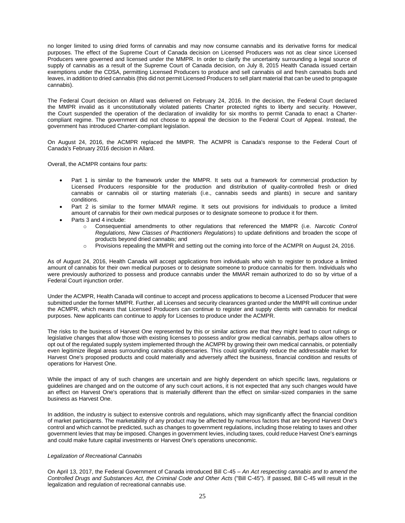no longer limited to using dried forms of cannabis and may now consume cannabis and its derivative forms for medical purposes. The effect of the Supreme Court of Canada decision on Licensed Producers was not as clear since Licensed Producers were governed and licensed under the MMPR. In order to clarify the uncertainty surrounding a legal source of supply of cannabis as a result of the Supreme Court of Canada decision, on July 8, 2015 Health Canada issued certain exemptions under the CDSA, permitting Licensed Producers to produce and sell cannabis oil and fresh cannabis buds and leaves, in addition to dried cannabis (this did not permit Licensed Producers to sell plant material that can be used to propagate cannabis).

The Federal Court decision on Allard was delivered on February 24, 2016. In the decision, the Federal Court declared the MMPR invalid as it unconstitutionally violated patients Charter protected rights to liberty and security. However, the Court suspended the operation of the declaration of invalidity for six months to permit Canada to enact a Chartercompliant regime. The government did not choose to appeal the decision to the Federal Court of Appeal. Instead, the government has introduced Charter-compliant legislation.

On August 24, 2016, the ACMPR replaced the MMPR. The ACMPR is Canada's response to the Federal Court of Canada's February 2016 decision in Allard.

Overall, the ACMPR contains four parts:

- Part 1 is similar to the framework under the MMPR. It sets out a framework for commercial production by Licensed Producers responsible for the production and distribution of quality-controlled fresh or dried cannabis or cannabis oil or starting materials (i.e., cannabis seeds and plants) in secure and sanitary conditions.
- Part 2 is similar to the former MMAR regime. It sets out provisions for individuals to produce a limited amount of cannabis for their own medical purposes or to designate someone to produce it for them.
- Parts 3 and 4 include:
	- o Consequential amendments to other regulations that referenced the MMPR (i.e. *Narcotic Control Regulations, New Classes of Practitioners Regulations*) to update definitions and broaden the scope of products beyond dried cannabis; and
	- $\circ$  Provisions repealing the MMPR and setting out the coming into force of the ACMPR on August 24, 2016.

As of August 24, 2016, Health Canada will accept applications from individuals who wish to register to produce a limited amount of cannabis for their own medical purposes or to designate someone to produce cannabis for them. Individuals who were previously authorized to possess and produce cannabis under the MMAR remain authorized to do so by virtue of a Federal Court injunction order.

Under the ACMPR, Health Canada will continue to accept and process applications to become a Licensed Producer that were submitted under the former MMPR. Further, all Licenses and security clearances granted under the MMPR will continue under the ACMPR, which means that Licensed Producers can continue to register and supply clients with cannabis for medical purposes. New applicants can continue to apply for Licenses to produce under the ACMPR.

The risks to the business of Harvest One represented by this or similar actions are that they might lead to court rulings or legislative changes that allow those with existing licenses to possess and/or grow medical cannabis, perhaps allow others to opt out of the regulated supply system implemented through the ACMPR by growing their own medical cannabis, or potentially even legitimize illegal areas surrounding cannabis dispensaries. This could significantly reduce the addressable market for Harvest One's proposed products and could materially and adversely affect the business, financial condition and results of operations for Harvest One.

While the impact of any of such changes are uncertain and are highly dependent on which specific laws, regulations or guidelines are changed and on the outcome of any such court actions, it is not expected that any such changes would have an effect on Harvest One's operations that is materially different than the effect on similar-sized companies in the same business as Harvest One.

In addition, the industry is subject to extensive controls and regulations, which may significantly affect the financial condition of market participants. The marketability of any product may be affected by numerous factors that are beyond Harvest One's control and which cannot be predicted, such as changes to government regulations, including those relating to taxes and other government levies that may be imposed. Changes in government levies, including taxes, could reduce Harvest One's earnings and could make future capital investments or Harvest One's operations uneconomic.

#### *Legalization of Recreational Cannabis*

On April 13, 2017, the Federal Government of Canada introduced Bill C-45 – *An Act respecting cannabis and to amend the Controlled Drugs and Substances Act, the Criminal Code and Other Acts* ("Bill C-45"). If passed, Bill C-45 will result in the legalization and regulation of recreational cannabis use.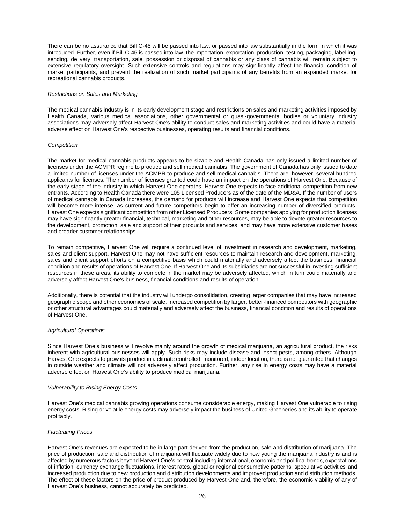There can be no assurance that Bill C-45 will be passed into law, or passed into law substantially in the form in which it was introduced. Further, even if Bill C-45 is passed into law, the importation, exportation, production, testing, packaging, labelling, sending, delivery, transportation, sale, possession or disposal of cannabis or any class of cannabis will remain subject to extensive regulatory oversight. Such extensive controls and regulations may significantly affect the financial condition of market participants, and prevent the realization of such market participants of any benefits from an expanded market for recreational cannabis products.

# *Restrictions on Sales and Marketing*

The medical cannabis industry is in its early development stage and restrictions on sales and marketing activities imposed by Health Canada, various medical associations, other governmental or quasi-governmental bodies or voluntary industry associations may adversely affect Harvest One's ability to conduct sales and marketing activities and could have a material adverse effect on Harvest One's respective businesses, operating results and financial conditions.

# *Competition*

The market for medical cannabis products appears to be sizable and Health Canada has only issued a limited number of licenses under the ACMPR regime to produce and sell medical cannabis. The government of Canada has only issued to date a limited number of licenses under the ACMPR to produce and sell medical cannabis. There are, however, several hundred applicants for licenses. The number of licenses granted could have an impact on the operations of Harvest One. Because of the early stage of the industry in which Harvest One operates, Harvest One expects to face additional competition from new entrants. According to Health Canada there were 105 Licensed Producers as of the date of the MD&A. If the number of users of medical cannabis in Canada increases, the demand for products will increase and Harvest One expects that competition will become more intense, as current and future competitors begin to offer an increasing number of diversified products. Harvest One expects significant competition from other Licensed Producers. Some companies applying for production licenses may have significantly greater financial, technical, marketing and other resources, may be able to devote greater resources to the development, promotion, sale and support of their products and services, and may have more extensive customer bases and broader customer relationships.

To remain competitive, Harvest One will require a continued level of investment in research and development, marketing, sales and client support. Harvest One may not have sufficient resources to maintain research and development, marketing, sales and client support efforts on a competitive basis which could materially and adversely affect the business, financial condition and results of operations of Harvest One. If Harvest One and its subsidiaries are not successful in investing sufficient resources in these areas, its ability to compete in the market may be adversely affected, which in turn could materially and adversely affect Harvest One's business, financial conditions and results of operation.

Additionally, there is potential that the industry will undergo consolidation, creating larger companies that may have increased geographic scope and other economies of scale. Increased competition by larger, better-financed competitors with geographic or other structural advantages could materially and adversely affect the business, financial condition and results of operations of Harvest One.

# *Agricultural Operations*

Since Harvest One's business will revolve mainly around the growth of medical marijuana, an agricultural product, the risks inherent with agricultural businesses will apply. Such risks may include disease and insect pests, among others. Although Harvest One expects to grow its product in a climate controlled, monitored, indoor location, there is not guarantee that changes in outside weather and climate will not adversely affect production. Further, any rise in energy costs may have a material adverse effect on Harvest One's ability to produce medical marijuana.

#### *Vulnerability to Rising Energy Costs*

Harvest One's medical cannabis growing operations consume considerable energy, making Harvest One vulnerable to rising energy costs. Rising or volatile energy costs may adversely impact the business of United Greeneries and its ability to operate profitably.

# *Fluctuating Prices*

Harvest One's revenues are expected to be in large part derived from the production, sale and distribution of marijuana. The price of production, sale and distribution of marijuana will fluctuate widely due to how young the marijuana industry is and is affected by numerous factors beyond Harvest One's control including international, economic and political trends, expectations of inflation, currency exchange fluctuations, interest rates, global or regional consumptive patterns, speculative activities and increased production due to new production and distribution developments and improved production and distribution methods. The effect of these factors on the price of product produced by Harvest One and, therefore, the economic viability of any of Harvest One's business, cannot accurately be predicted.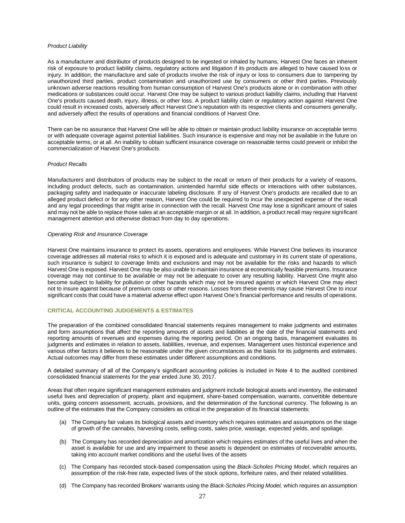#### *Product Liability*

As a manufacturer and distributor of products designed to be ingested or inhaled by humans, Harvest One faces an inherent risk of exposure to product liability claims, regulatory actions and litigation if its products are alleged to have caused loss or injury. In addition, the manufacture and sale of products involve the risk of injury or loss to consumers due to tampering by unauthorized third parties, product contamination and unauthorized use by consumers or other third parties. Previously unknown adverse reactions resulting from human consumption of Harvest One's products alone or in combination with other medications or substances could occur. Harvest One may be subject to various product liability claims, including that Harvest One's products caused death, injury, illness, or other loss. A product liability claim or regulatory action against Harvest One could result in increased costs, adversely affect Harvest One's reputation with its respective clients and consumers generally, and adversely affect the results of operations and financial conditions of Harvest One.

There can be no assurance that Harvest One will be able to obtain or maintain product liability insurance on acceptable terms or with adequate coverage against potential liabilities. Such insurance is expensive and may not be available in the future on acceptable terms, or at all. An inability to obtain sufficient insurance coverage on reasonable terms could prevent or inhibit the commercialization of Harvest One's products.

# *Product Recalls*

Manufacturers and distributors of products may be subject to the recall or return of their products for a variety of reasons, including product defects, such as contamination, unintended harmful side effects or interactions with other substances, packaging safety and inadequate or inaccurate labeling disclosure. If any of Harvest One's products are recalled due to an alleged product defect or for any other reason, Harvest One could be required to incur the unexpected expense of the recall and any legal proceedings that might arise in connection with the recall. Harvest One may lose a significant amount of sales and may not be able to replace those sales at an acceptable margin or at all. In addition, a product recall may require significant management attention and otherwise distract from day to day operations.

#### *Operating Risk and Insurance Coverage*

Harvest One maintains insurance to protect its assets, operations and employees. While Harvest One believes its insurance coverage addresses all material risks to which it is exposed and is adequate and customary in its current state of operations, such insurance is subject to coverage limits and exclusions and may not be available for the risks and hazards to which Harvest One is exposed. Harvest One may be also unable to maintain insurance at economically feasible premiums. Insurance coverage may not continue to be available or may not be adequate to cover any resulting liability. Harvest One might also become subject to liability for pollution or other hazards which may not be insured against or which Harvest One may elect not to insure against because of premium costs or other reasons. Losses from these events may cause Harvest One to incur significant costs that could have a material adverse effect upon Harvest One's financial performance and results of operations.

# **CRITICAL ACCOUNTING JUDGEMENTS & ESTIMATES**

The preparation of the combined consolidated financial statements requires management to make judgments and estimates and form assumptions that affect the reporting amounts of assets and liabilities at the date of the financial statements and reporting amounts of revenues and expenses during the reporting period. On an ongoing basis, management evaluates its judgments and estimates in relation to assets, liabilities, revenue, and expenses. Management uses historical experience and various other factors it believes to be reasonable under the given circumstances as the basis for its judgments and estimates. Actual outcomes may differ from these estimates under different assumptions and conditions.

A detailed summary of all of the Company's significant accounting policies is included in Note 4 to the audited combined consolidated financial statements for the year ended June 30, 2017.

Areas that often require significant management estimates and judgment include biological assets and inventory, the estimated useful lives and depreciation of property, plant and equipment, share-based compensation, warrants, convertible debenture units, going concern assessment, accruals, provisions, and the determination of the functional currency. The following is an outline of the estimates that the Company considers as critical in the preparation of its financial statements:

- (a) The Company fair values its biological assets and inventory which requires estimates and assumptions on the stage of growth of the cannabis, harvesting costs, selling costs, sales price, wastage, expected yields, and spoilage.
- (b) The Company has recorded depreciation and amortization which requires estimates of the useful lives and when the asset is available for use and any impairment to these assets is dependent on estimates of recoverable amounts, taking into account market conditions and the useful lives of the assets
- (c) The Company has recorded stock-based compensation using the *Black-Scholes Pricing Model*, which requires an assumption of the risk-free rate, expected lives of the stock options, forfeiture rates, and their related volatilities.
- (d) The Company has recorded Brokers' warrants using the *Black-Scholes Pricing Model,* which requires an assumption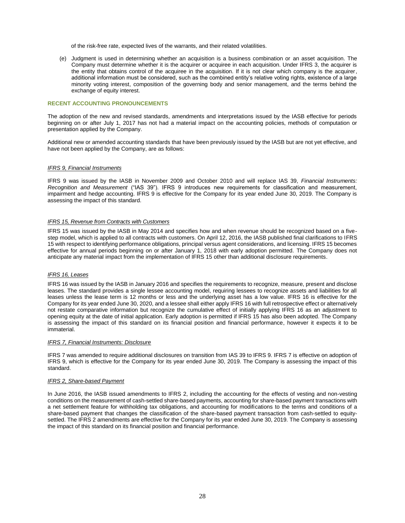of the risk-free rate, expected lives of the warrants, and their related volatilities.

(e) Judgment is used in determining whether an acquisition is a business combination or an asset acquisition. The Company must determine whether it is the acquirer or acquiree in each acquisition. Under IFRS 3, the acquirer is the entity that obtains control of the acquiree in the acquisition. If it is not clear which company is the acquirer, additional information must be considered, such as the combined entity's relative voting rights, existence of a large minority voting interest, composition of the governing body and senior management, and the terms behind the exchange of equity interest.

# **RECENT ACCOUNTING PRONOUNCEMENTS**

The adoption of the new and revised standards, amendments and interpretations issued by the IASB effective for periods beginning on or after July 1, 2017 has not had a material impact on the accounting policies, methods of computation or presentation applied by the Company.

Additional new or amended accounting standards that have been previously issued by the IASB but are not yet effective, and have not been applied by the Company, are as follows:

#### *IFRS 9, Financial Instruments*

IFRS 9 was issued by the IASB in November 2009 and October 2010 and will replace IAS 39, *Financial Instruments: Recognition and Measurement* ("IAS 39"). IFRS 9 introduces new requirements for classification and measurement, impairment and hedge accounting. IFRS 9 is effective for the Company for its year ended June 30, 2019. The Company is assessing the impact of this standard.

# *IFRS 15, Revenue from Contracts with Customers*

IFRS 15 was issued by the IASB in May 2014 and specifies how and when revenue should be recognized based on a fivestep model, which is applied to all contracts with customers. On April 12, 2016, the IASB published final clarifications to IFRS 15 with respect to identifying performance obligations, principal versus agent considerations, and licensing. IFRS 15 becomes effective for annual periods beginning on or after January 1, 2018 with early adoption permitted. The Company does not anticipate any material impact from the implementation of IFRS 15 other than additional disclosure requirements.

## *IFRS 16, Leases*

IFRS 16 was issued by the IASB in January 2016 and specifies the requirements to recognize, measure, present and disclose leases. The standard provides a single lessee accounting model, requiring lessees to recognize assets and liabilities for all leases unless the lease term is 12 months or less and the underlying asset has a low value. IFRS 16 is effective for the Company for its year ended June 30, 2020, and a lessee shall either apply IFRS 16 with full retrospective effect or alternatively not restate comparative information but recognize the cumulative effect of initially applying IFRS 16 as an adjustment to opening equity at the date of initial application. Early adoption is permitted if IFRS 15 has also been adopted. The Company is assessing the impact of this standard on its financial position and financial performance, however it expects it to be immaterial.

#### *IFRS 7, Financial Instruments: Disclosure*

IFRS 7 was amended to require additional disclosures on transition from IAS 39 to IFRS 9. IFRS 7 is effective on adoption of IFRS 9, which is effective for the Company for its year ended June 30, 2019. The Company is assessing the impact of this standard.

# *IFRS 2, Share-based Payment*

In June 2016, the IASB issued amendments to IFRS 2, including the accounting for the effects of vesting and non-vesting conditions on the measurement of cash-settled share-based payments, accounting for share-based payment transactions with a net settlement feature for withholding tax obligations, and accounting for modifications to the terms and conditions of a share-based payment that changes the classification of the share-based payment transaction from cash-settled to equitysettled. The IFRS 2 amendments are effective for the Company for its year ended June 30, 2019. The Company is assessing the impact of this standard on its financial position and financial performance.